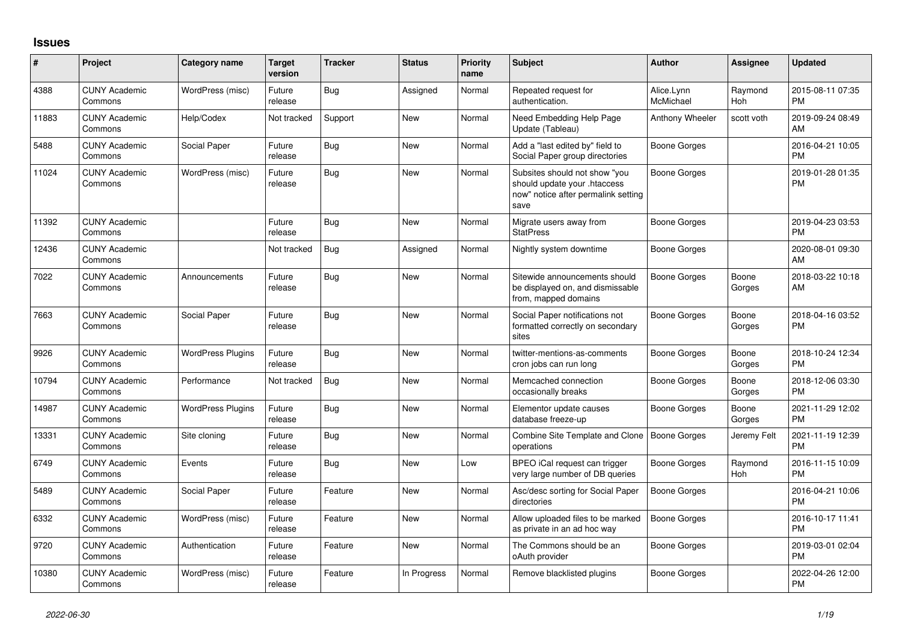## **Issues**

| #     | Project                         | <b>Category name</b>     | <b>Target</b><br>version | <b>Tracker</b> | <b>Status</b> | <b>Priority</b><br>name | <b>Subject</b>                                                                                               | <b>Author</b>           | Assignee              | <b>Updated</b>                |
|-------|---------------------------------|--------------------------|--------------------------|----------------|---------------|-------------------------|--------------------------------------------------------------------------------------------------------------|-------------------------|-----------------------|-------------------------------|
| 4388  | <b>CUNY Academic</b><br>Commons | WordPress (misc)         | Future<br>release        | Bug            | Assigned      | Normal                  | Repeated request for<br>authentication.                                                                      | Alice.Lynn<br>McMichael | Raymond<br>Hoh        | 2015-08-11 07:35<br><b>PM</b> |
| 11883 | <b>CUNY Academic</b><br>Commons | Help/Codex               | Not tracked              | Support        | New           | Normal                  | Need Embedding Help Page<br>Update (Tableau)                                                                 | Anthony Wheeler         | scott voth            | 2019-09-24 08:49<br>AM        |
| 5488  | <b>CUNY Academic</b><br>Commons | Social Paper             | Future<br>release        | Bug            | <b>New</b>    | Normal                  | Add a "last edited by" field to<br>Social Paper group directories                                            | <b>Boone Gorges</b>     |                       | 2016-04-21 10:05<br><b>PM</b> |
| 11024 | <b>CUNY Academic</b><br>Commons | WordPress (misc)         | Future<br>release        | Bug            | New           | Normal                  | Subsites should not show "you<br>should update your .htaccess<br>now" notice after permalink setting<br>save | Boone Gorges            |                       | 2019-01-28 01:35<br><b>PM</b> |
| 11392 | <b>CUNY Academic</b><br>Commons |                          | Future<br>release        | Bug            | <b>New</b>    | Normal                  | Migrate users away from<br><b>StatPress</b>                                                                  | <b>Boone Gorges</b>     |                       | 2019-04-23 03:53<br><b>PM</b> |
| 12436 | <b>CUNY Academic</b><br>Commons |                          | Not tracked              | Bug            | Assigned      | Normal                  | Nightly system downtime                                                                                      | Boone Gorges            |                       | 2020-08-01 09:30<br>AM        |
| 7022  | <b>CUNY Academic</b><br>Commons | Announcements            | Future<br>release        | Bug            | New           | Normal                  | Sitewide announcements should<br>be displayed on, and dismissable<br>from, mapped domains                    | Boone Gorges            | Boone<br>Gorges       | 2018-03-22 10:18<br>AM        |
| 7663  | <b>CUNY Academic</b><br>Commons | Social Paper             | Future<br>release        | Bug            | <b>New</b>    | Normal                  | Social Paper notifications not<br>formatted correctly on secondary<br>sites                                  | <b>Boone Gorges</b>     | Boone<br>Gorges       | 2018-04-16 03:52<br><b>PM</b> |
| 9926  | <b>CUNY Academic</b><br>Commons | <b>WordPress Plugins</b> | Future<br>release        | Bug            | <b>New</b>    | Normal                  | twitter-mentions-as-comments<br>cron jobs can run long                                                       | Boone Gorges            | Boone<br>Gorges       | 2018-10-24 12:34<br><b>PM</b> |
| 10794 | <b>CUNY Academic</b><br>Commons | Performance              | Not tracked              | Bug            | New           | Normal                  | Memcached connection<br>occasionally breaks                                                                  | Boone Gorges            | Boone<br>Gorges       | 2018-12-06 03:30<br><b>PM</b> |
| 14987 | <b>CUNY Academic</b><br>Commons | <b>WordPress Plugins</b> | Future<br>release        | <b>Bug</b>     | New           | Normal                  | Elementor update causes<br>database freeze-up                                                                | Boone Gorges            | Boone<br>Gorges       | 2021-11-29 12:02<br><b>PM</b> |
| 13331 | <b>CUNY Academic</b><br>Commons | Site cloning             | Future<br>release        | <b>Bug</b>     | New           | Normal                  | Combine Site Template and Clone<br>operations                                                                | Boone Gorges            | Jeremy Felt           | 2021-11-19 12:39<br><b>PM</b> |
| 6749  | <b>CUNY Academic</b><br>Commons | Events                   | Future<br>release        | Bug            | New           | Low                     | BPEO iCal request can trigger<br>very large number of DB queries                                             | Boone Gorges            | Raymond<br><b>Hoh</b> | 2016-11-15 10:09<br><b>PM</b> |
| 5489  | <b>CUNY Academic</b><br>Commons | Social Paper             | Future<br>release        | Feature        | <b>New</b>    | Normal                  | Asc/desc sorting for Social Paper<br>directories                                                             | Boone Gorges            |                       | 2016-04-21 10:06<br><b>PM</b> |
| 6332  | <b>CUNY Academic</b><br>Commons | WordPress (misc)         | Future<br>release        | Feature        | <b>New</b>    | Normal                  | Allow uploaded files to be marked<br>as private in an ad hoc way                                             | Boone Gorges            |                       | 2016-10-17 11:41<br><b>PM</b> |
| 9720  | <b>CUNY Academic</b><br>Commons | Authentication           | Future<br>release        | Feature        | New           | Normal                  | The Commons should be an<br>oAuth provider                                                                   | Boone Gorges            |                       | 2019-03-01 02:04<br><b>PM</b> |
| 10380 | <b>CUNY Academic</b><br>Commons | WordPress (misc)         | Future<br>release        | Feature        | In Progress   | Normal                  | Remove blacklisted plugins                                                                                   | Boone Gorges            |                       | 2022-04-26 12:00<br><b>PM</b> |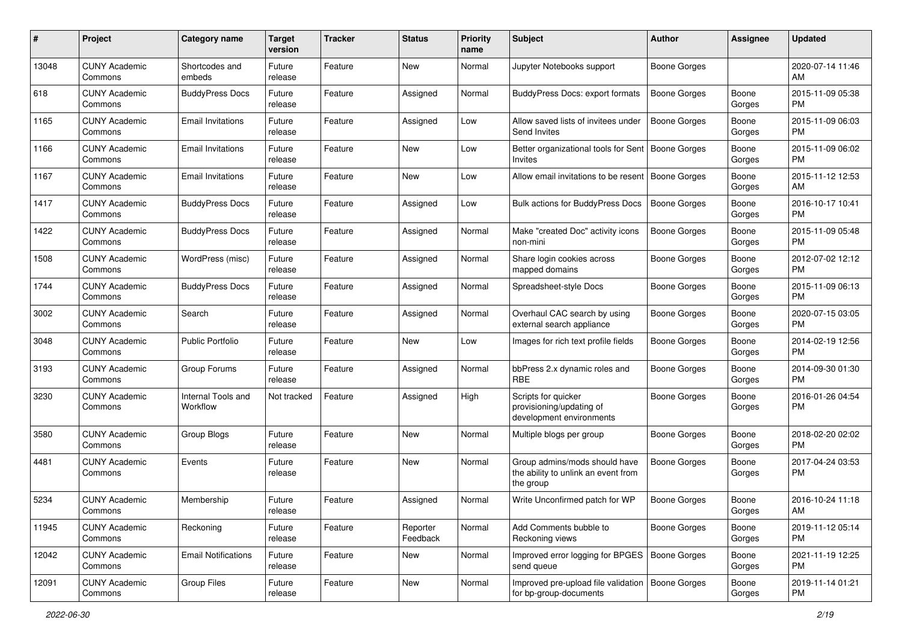| #     | Project                         | <b>Category name</b>           | <b>Target</b><br>version | <b>Tracker</b> | <b>Status</b>        | <b>Priority</b><br>name | <b>Subject</b>                                                                    | <b>Author</b>       | <b>Assignee</b> | <b>Updated</b>                |
|-------|---------------------------------|--------------------------------|--------------------------|----------------|----------------------|-------------------------|-----------------------------------------------------------------------------------|---------------------|-----------------|-------------------------------|
| 13048 | <b>CUNY Academic</b><br>Commons | Shortcodes and<br>embeds       | Future<br>release        | Feature        | New                  | Normal                  | Jupyter Notebooks support                                                         | <b>Boone Gorges</b> |                 | 2020-07-14 11:46<br>AM.       |
| 618   | <b>CUNY Academic</b><br>Commons | <b>BuddyPress Docs</b>         | Future<br>release        | Feature        | Assigned             | Normal                  | <b>BuddyPress Docs: export formats</b>                                            | <b>Boone Gorges</b> | Boone<br>Gorges | 2015-11-09 05:38<br><b>PM</b> |
| 1165  | <b>CUNY Academic</b><br>Commons | <b>Email Invitations</b>       | Future<br>release        | Feature        | Assigned             | Low                     | Allow saved lists of invitees under<br>Send Invites                               | Boone Gorges        | Boone<br>Gorges | 2015-11-09 06:03<br><b>PM</b> |
| 1166  | <b>CUNY Academic</b><br>Commons | <b>Email Invitations</b>       | Future<br>release        | Feature        | New                  | Low                     | Better organizational tools for Sent<br>Invites                                   | Boone Gorges        | Boone<br>Gorges | 2015-11-09 06:02<br><b>PM</b> |
| 1167  | <b>CUNY Academic</b><br>Commons | <b>Email Invitations</b>       | Future<br>release        | Feature        | New                  | Low                     | Allow email invitations to be resent                                              | Boone Gorges        | Boone<br>Gorges | 2015-11-12 12:53<br>AM        |
| 1417  | <b>CUNY Academic</b><br>Commons | <b>BuddyPress Docs</b>         | Future<br>release        | Feature        | Assigned             | Low                     | Bulk actions for BuddyPress Docs                                                  | <b>Boone Gorges</b> | Boone<br>Gorges | 2016-10-17 10:41<br><b>PM</b> |
| 1422  | <b>CUNY Academic</b><br>Commons | <b>BuddyPress Docs</b>         | Future<br>release        | Feature        | Assigned             | Normal                  | Make "created Doc" activity icons<br>non-mini                                     | <b>Boone Gorges</b> | Boone<br>Gorges | 2015-11-09 05:48<br><b>PM</b> |
| 1508  | <b>CUNY Academic</b><br>Commons | WordPress (misc)               | Future<br>release        | Feature        | Assigned             | Normal                  | Share login cookies across<br>mapped domains                                      | Boone Gorges        | Boone<br>Gorges | 2012-07-02 12:12<br>PM        |
| 1744  | <b>CUNY Academic</b><br>Commons | <b>BuddyPress Docs</b>         | Future<br>release        | Feature        | Assigned             | Normal                  | Spreadsheet-style Docs                                                            | <b>Boone Gorges</b> | Boone<br>Gorges | 2015-11-09 06:13<br><b>PM</b> |
| 3002  | <b>CUNY Academic</b><br>Commons | Search                         | Future<br>release        | Feature        | Assigned             | Normal                  | Overhaul CAC search by using<br>external search appliance                         | Boone Gorges        | Boone<br>Gorges | 2020-07-15 03:05<br>PM.       |
| 3048  | <b>CUNY Academic</b><br>Commons | <b>Public Portfolio</b>        | Future<br>release        | Feature        | New                  | Low                     | Images for rich text profile fields                                               | Boone Gorges        | Boone<br>Gorges | 2014-02-19 12:56<br><b>PM</b> |
| 3193  | <b>CUNY Academic</b><br>Commons | Group Forums                   | Future<br>release        | Feature        | Assigned             | Normal                  | bbPress 2.x dynamic roles and<br><b>RBE</b>                                       | Boone Gorges        | Boone<br>Gorges | 2014-09-30 01:30<br><b>PM</b> |
| 3230  | <b>CUNY Academic</b><br>Commons | Internal Tools and<br>Workflow | Not tracked              | Feature        | Assigned             | High                    | Scripts for quicker<br>provisioning/updating of<br>development environments       | Boone Gorges        | Boone<br>Gorges | 2016-01-26 04:54<br><b>PM</b> |
| 3580  | <b>CUNY Academic</b><br>Commons | Group Blogs                    | Future<br>release        | Feature        | New                  | Normal                  | Multiple blogs per group                                                          | Boone Gorges        | Boone<br>Gorges | 2018-02-20 02:02<br><b>PM</b> |
| 4481  | <b>CUNY Academic</b><br>Commons | Events                         | Future<br>release        | Feature        | New                  | Normal                  | Group admins/mods should have<br>the ability to unlink an event from<br>the group | <b>Boone Gorges</b> | Boone<br>Gorges | 2017-04-24 03:53<br><b>PM</b> |
| 5234  | <b>CUNY Academic</b><br>Commons | Membership                     | Future<br>release        | Feature        | Assigned             | Normal                  | Write Unconfirmed patch for WP                                                    | <b>Boone Gorges</b> | Boone<br>Gorges | 2016-10-24 11:18<br>AM        |
| 11945 | <b>CUNY Academic</b><br>Commons | Reckoning                      | Future<br>release        | Feature        | Reporter<br>Feedback | Normal                  | Add Comments bubble to<br>Reckoning views                                         | <b>Boone Gorges</b> | Boone<br>Gorges | 2019-11-12 05:14<br><b>PM</b> |
| 12042 | <b>CUNY Academic</b><br>Commons | <b>Email Notifications</b>     | Future<br>release        | Feature        | New                  | Normal                  | Improved error logging for BPGES<br>send queue                                    | Boone Gorges        | Boone<br>Gorges | 2021-11-19 12:25<br><b>PM</b> |
| 12091 | <b>CUNY Academic</b><br>Commons | Group Files                    | Future<br>release        | Feature        | New                  | Normal                  | Improved pre-upload file validation<br>for bp-group-documents                     | Boone Gorges        | Boone<br>Gorges | 2019-11-14 01:21<br><b>PM</b> |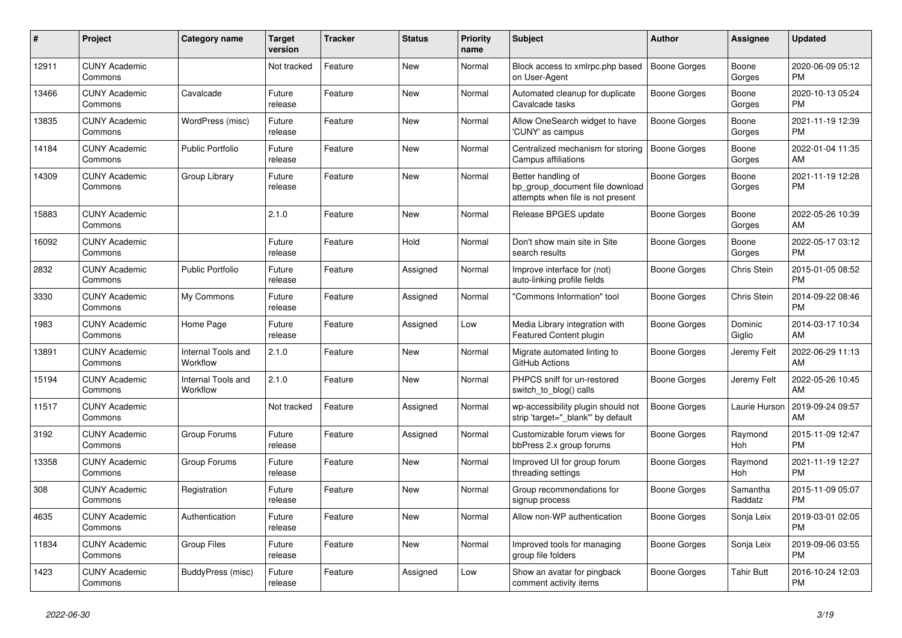| #     | <b>Project</b>                  | Category name                         | <b>Target</b><br>version | <b>Tracker</b> | <b>Status</b> | <b>Priority</b><br>name | <b>Subject</b>                                                                             | <b>Author</b>       | Assignee            | <b>Updated</b>                |
|-------|---------------------------------|---------------------------------------|--------------------------|----------------|---------------|-------------------------|--------------------------------------------------------------------------------------------|---------------------|---------------------|-------------------------------|
| 12911 | <b>CUNY Academic</b><br>Commons |                                       | Not tracked              | Feature        | <b>New</b>    | Normal                  | Block access to xmlrpc.php based<br>on User-Agent                                          | <b>Boone Gorges</b> | Boone<br>Gorges     | 2020-06-09 05:12<br><b>PM</b> |
| 13466 | <b>CUNY Academic</b><br>Commons | Cavalcade                             | Future<br>release        | Feature        | <b>New</b>    | Normal                  | Automated cleanup for duplicate<br>Cavalcade tasks                                         | Boone Gorges        | Boone<br>Gorges     | 2020-10-13 05:24<br><b>PM</b> |
| 13835 | <b>CUNY Academic</b><br>Commons | WordPress (misc)                      | Future<br>release        | Feature        | <b>New</b>    | Normal                  | Allow OneSearch widget to have<br>'CUNY' as campus                                         | Boone Gorges        | Boone<br>Gorges     | 2021-11-19 12:39<br><b>PM</b> |
| 14184 | <b>CUNY Academic</b><br>Commons | <b>Public Portfolio</b>               | Future<br>release        | Feature        | <b>New</b>    | Normal                  | Centralized mechanism for storing<br>Campus affiliations                                   | <b>Boone Gorges</b> | Boone<br>Gorges     | 2022-01-04 11:35<br>AM        |
| 14309 | <b>CUNY Academic</b><br>Commons | Group Library                         | Future<br>release        | Feature        | <b>New</b>    | Normal                  | Better handling of<br>bp_group_document file download<br>attempts when file is not present | <b>Boone Gorges</b> | Boone<br>Gorges     | 2021-11-19 12:28<br><b>PM</b> |
| 15883 | <b>CUNY Academic</b><br>Commons |                                       | 2.1.0                    | Feature        | <b>New</b>    | Normal                  | Release BPGES update                                                                       | Boone Gorges        | Boone<br>Gorges     | 2022-05-26 10:39<br>AM        |
| 16092 | <b>CUNY Academic</b><br>Commons |                                       | Future<br>release        | Feature        | Hold          | Normal                  | Don't show main site in Site<br>search results                                             | Boone Gorges        | Boone<br>Gorges     | 2022-05-17 03:12<br><b>PM</b> |
| 2832  | <b>CUNY Academic</b><br>Commons | <b>Public Portfolio</b>               | Future<br>release        | Feature        | Assigned      | Normal                  | Improve interface for (not)<br>auto-linking profile fields                                 | Boone Gorges        | Chris Stein         | 2015-01-05 08:52<br><b>PM</b> |
| 3330  | <b>CUNY Academic</b><br>Commons | My Commons                            | Future<br>release        | Feature        | Assigned      | Normal                  | "Commons Information" tool                                                                 | Boone Gorges        | Chris Stein         | 2014-09-22 08:46<br><b>PM</b> |
| 1983  | <b>CUNY Academic</b><br>Commons | Home Page                             | Future<br>release        | Feature        | Assigned      | Low                     | Media Library integration with<br><b>Featured Content plugin</b>                           | Boone Gorges        | Dominic<br>Giglio   | 2014-03-17 10:34<br>AM        |
| 13891 | <b>CUNY Academic</b><br>Commons | Internal Tools and<br>Workflow        | 2.1.0                    | Feature        | <b>New</b>    | Normal                  | Migrate automated linting to<br>GitHub Actions                                             | Boone Gorges        | Jeremy Felt         | 2022-06-29 11:13<br>AM        |
| 15194 | <b>CUNY Academic</b><br>Commons | <b>Internal Tools and</b><br>Workflow | 2.1.0                    | Feature        | New           | Normal                  | PHPCS sniff for un-restored<br>switch_to_blog() calls                                      | Boone Gorges        | Jeremy Felt         | 2022-05-26 10:45<br>AM        |
| 11517 | <b>CUNY Academic</b><br>Commons |                                       | Not tracked              | Feature        | Assigned      | Normal                  | wp-accessibility plugin should not<br>strip 'target="_blank"' by default                   | Boone Gorges        | Laurie Hurson       | 2019-09-24 09:57<br>AM        |
| 3192  | <b>CUNY Academic</b><br>Commons | Group Forums                          | Future<br>release        | Feature        | Assigned      | Normal                  | Customizable forum views for<br>bbPress 2.x group forums                                   | Boone Gorges        | Raymond<br>Hoh      | 2015-11-09 12:47<br><b>PM</b> |
| 13358 | <b>CUNY Academic</b><br>Commons | Group Forums                          | Future<br>release        | Feature        | New           | Normal                  | Improved UI for group forum<br>threading settings                                          | Boone Gorges        | Raymond<br>Hoh      | 2021-11-19 12:27<br><b>PM</b> |
| 308   | <b>CUNY Academic</b><br>Commons | Registration                          | Future<br>release        | Feature        | <b>New</b>    | Normal                  | Group recommendations for<br>signup process                                                | Boone Gorges        | Samantha<br>Raddatz | 2015-11-09 05:07<br><b>PM</b> |
| 4635  | <b>CUNY Academic</b><br>Commons | Authentication                        | Future<br>release        | Feature        | <b>New</b>    | Normal                  | Allow non-WP authentication                                                                | Boone Gorges        | Sonja Leix          | 2019-03-01 02:05<br><b>PM</b> |
| 11834 | <b>CUNY Academic</b><br>Commons | <b>Group Files</b>                    | Future<br>release        | Feature        | <b>New</b>    | Normal                  | Improved tools for managing<br>group file folders                                          | Boone Gorges        | Sonja Leix          | 2019-09-06 03:55<br><b>PM</b> |
| 1423  | <b>CUNY Academic</b><br>Commons | BuddyPress (misc)                     | Future<br>release        | Feature        | Assigned      | Low                     | Show an avatar for pingback<br>comment activity items                                      | Boone Gorges        | Tahir Butt          | 2016-10-24 12:03<br><b>PM</b> |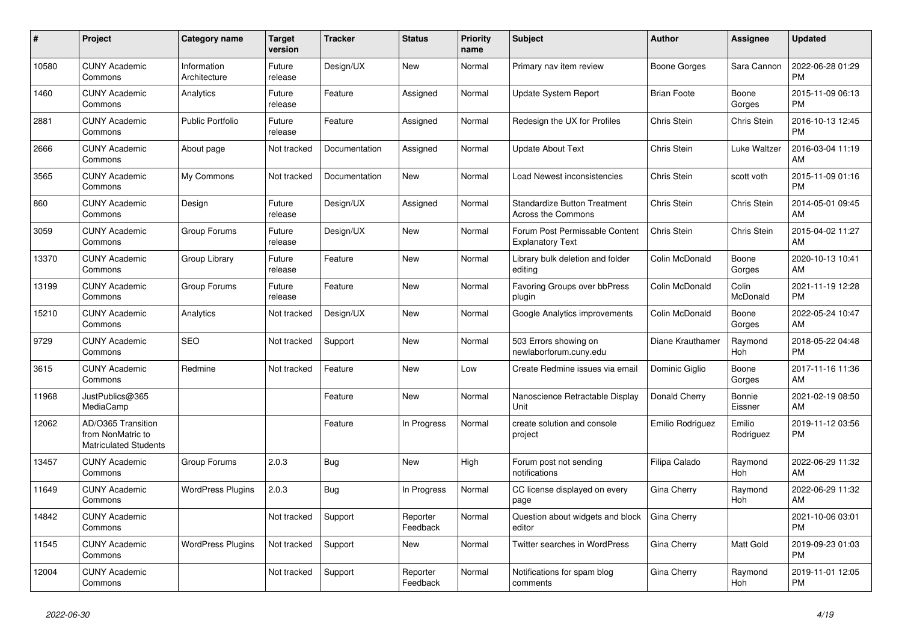| #     | Project                                                          | <b>Category name</b>        | <b>Target</b><br>version | <b>Tracker</b> | <b>Status</b>        | <b>Priority</b><br>name | <b>Subject</b>                                                   | <b>Author</b>      | Assignee            | <b>Updated</b>                |
|-------|------------------------------------------------------------------|-----------------------------|--------------------------|----------------|----------------------|-------------------------|------------------------------------------------------------------|--------------------|---------------------|-------------------------------|
| 10580 | <b>CUNY Academic</b><br>Commons                                  | Information<br>Architecture | Future<br>release        | Design/UX      | <b>New</b>           | Normal                  | Primary nav item review                                          | Boone Gorges       | Sara Cannon         | 2022-06-28 01:29<br><b>PM</b> |
| 1460  | <b>CUNY Academic</b><br>Commons                                  | Analytics                   | Future<br>release        | Feature        | Assigned             | Normal                  | <b>Update System Report</b>                                      | <b>Brian Foote</b> | Boone<br>Gorges     | 2015-11-09 06:13<br><b>PM</b> |
| 2881  | <b>CUNY Academic</b><br>Commons                                  | <b>Public Portfolio</b>     | Future<br>release        | Feature        | Assigned             | Normal                  | Redesign the UX for Profiles                                     | Chris Stein        | Chris Stein         | 2016-10-13 12:45<br><b>PM</b> |
| 2666  | <b>CUNY Academic</b><br>Commons                                  | About page                  | Not tracked              | Documentation  | Assigned             | Normal                  | <b>Update About Text</b>                                         | Chris Stein        | Luke Waltzer        | 2016-03-04 11:19<br>AM        |
| 3565  | <b>CUNY Academic</b><br>Commons                                  | My Commons                  | Not tracked              | Documentation  | New                  | Normal                  | Load Newest inconsistencies                                      | Chris Stein        | scott voth          | 2015-11-09 01:16<br><b>PM</b> |
| 860   | <b>CUNY Academic</b><br>Commons                                  | Design                      | Future<br>release        | Design/UX      | Assigned             | Normal                  | <b>Standardize Button Treatment</b><br><b>Across the Commons</b> | Chris Stein        | Chris Stein         | 2014-05-01 09:45<br>AM        |
| 3059  | <b>CUNY Academic</b><br>Commons                                  | Group Forums                | Future<br>release        | Design/UX      | <b>New</b>           | Normal                  | Forum Post Permissable Content<br><b>Explanatory Text</b>        | Chris Stein        | Chris Stein         | 2015-04-02 11:27<br>AM        |
| 13370 | <b>CUNY Academic</b><br>Commons                                  | Group Library               | Future<br>release        | Feature        | <b>New</b>           | Normal                  | Library bulk deletion and folder<br>editing                      | Colin McDonald     | Boone<br>Gorges     | 2020-10-13 10:41<br>AM        |
| 13199 | <b>CUNY Academic</b><br>Commons                                  | Group Forums                | Future<br>release        | Feature        | <b>New</b>           | Normal                  | Favoring Groups over bbPress<br>plugin                           | Colin McDonald     | Colin<br>McDonald   | 2021-11-19 12:28<br><b>PM</b> |
| 15210 | <b>CUNY Academic</b><br>Commons                                  | Analytics                   | Not tracked              | Design/UX      | New                  | Normal                  | Google Analytics improvements                                    | Colin McDonald     | Boone<br>Gorges     | 2022-05-24 10:47<br>AM        |
| 9729  | <b>CUNY Academic</b><br>Commons                                  | <b>SEO</b>                  | Not tracked              | Support        | <b>New</b>           | Normal                  | 503 Errors showing on<br>newlaborforum.cuny.edu                  | Diane Krauthamer   | Raymond<br>Hoh      | 2018-05-22 04:48<br><b>PM</b> |
| 3615  | <b>CUNY Academic</b><br>Commons                                  | Redmine                     | Not tracked              | Feature        | New                  | Low                     | Create Redmine issues via email                                  | Dominic Giglio     | Boone<br>Gorges     | 2017-11-16 11:36<br>AM        |
| 11968 | JustPublics@365<br>MediaCamp                                     |                             |                          | Feature        | New                  | Normal                  | Nanoscience Retractable Display<br>Unit                          | Donald Cherry      | Bonnie<br>Eissner   | 2021-02-19 08:50<br>AM        |
| 12062 | AD/O365 Transition<br>from NonMatric to<br>Matriculated Students |                             |                          | Feature        | In Progress          | Normal                  | create solution and console<br>project                           | Emilio Rodriguez   | Emilio<br>Rodriguez | 2019-11-12 03:56<br><b>PM</b> |
| 13457 | <b>CUNY Academic</b><br>Commons                                  | Group Forums                | 2.0.3                    | Bug            | <b>New</b>           | High                    | Forum post not sending<br>notifications                          | Filipa Calado      | Raymond<br>Hoh      | 2022-06-29 11:32<br>AM        |
| 11649 | <b>CUNY Academic</b><br>Commons                                  | <b>WordPress Plugins</b>    | 2.0.3                    | Bug            | In Progress          | Normal                  | CC license displayed on every<br>page                            | Gina Cherry        | Raymond<br>Hoh      | 2022-06-29 11:32<br>AM        |
| 14842 | <b>CUNY Academic</b><br>Commons                                  |                             | Not tracked              | Support        | Reporter<br>Feedback | Normal                  | Question about widgets and block<br>editor                       | Gina Cherry        |                     | 2021-10-06 03:01<br><b>PM</b> |
| 11545 | <b>CUNY Academic</b><br>Commons                                  | <b>WordPress Plugins</b>    | Not tracked              | Support        | New                  | Normal                  | Twitter searches in WordPress                                    | Gina Cherry        | Matt Gold           | 2019-09-23 01:03<br><b>PM</b> |
| 12004 | <b>CUNY Academic</b><br>Commons                                  |                             | Not tracked              | Support        | Reporter<br>Feedback | Normal                  | Notifications for spam blog<br>comments                          | Gina Cherry        | Raymond<br>Hoh      | 2019-11-01 12:05<br><b>PM</b> |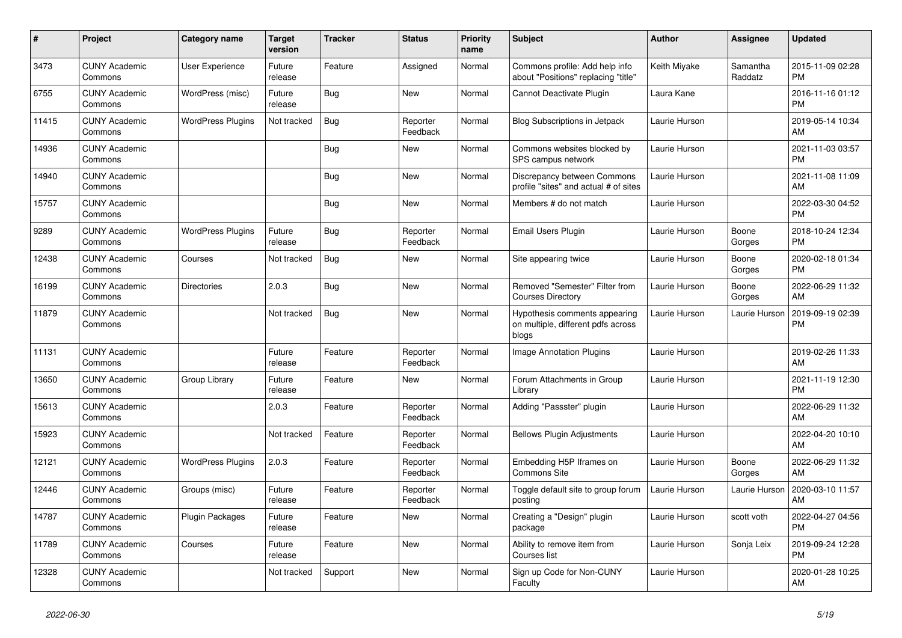| $\pmb{\#}$ | <b>Project</b>                  | <b>Category name</b>     | <b>Target</b><br>version | <b>Tracker</b> | <b>Status</b>        | <b>Priority</b><br>name | <b>Subject</b>                                                               | <b>Author</b> | Assignee            | <b>Updated</b>                |
|------------|---------------------------------|--------------------------|--------------------------|----------------|----------------------|-------------------------|------------------------------------------------------------------------------|---------------|---------------------|-------------------------------|
| 3473       | <b>CUNY Academic</b><br>Commons | <b>User Experience</b>   | Future<br>release        | Feature        | Assigned             | Normal                  | Commons profile: Add help info<br>about "Positions" replacing "title"        | Keith Miyake  | Samantha<br>Raddatz | 2015-11-09 02:28<br><b>PM</b> |
| 6755       | <b>CUNY Academic</b><br>Commons | WordPress (misc)         | Future<br>release        | <b>Bug</b>     | New                  | Normal                  | Cannot Deactivate Plugin                                                     | Laura Kane    |                     | 2016-11-16 01:12<br><b>PM</b> |
| 11415      | <b>CUNY Academic</b><br>Commons | <b>WordPress Plugins</b> | Not tracked              | Bug            | Reporter<br>Feedback | Normal                  | <b>Blog Subscriptions in Jetpack</b>                                         | Laurie Hurson |                     | 2019-05-14 10:34<br>AM        |
| 14936      | <b>CUNY Academic</b><br>Commons |                          |                          | <b>Bug</b>     | <b>New</b>           | Normal                  | Commons websites blocked by<br>SPS campus network                            | Laurie Hurson |                     | 2021-11-03 03:57<br><b>PM</b> |
| 14940      | <b>CUNY Academic</b><br>Commons |                          |                          | Bug            | <b>New</b>           | Normal                  | Discrepancy between Commons<br>profile "sites" and actual # of sites         | Laurie Hurson |                     | 2021-11-08 11:09<br>AM        |
| 15757      | <b>CUNY Academic</b><br>Commons |                          |                          | Bug            | <b>New</b>           | Normal                  | Members # do not match                                                       | Laurie Hurson |                     | 2022-03-30 04:52<br><b>PM</b> |
| 9289       | <b>CUNY Academic</b><br>Commons | <b>WordPress Plugins</b> | Future<br>release        | Bug            | Reporter<br>Feedback | Normal                  | Email Users Plugin                                                           | Laurie Hurson | Boone<br>Gorges     | 2018-10-24 12:34<br><b>PM</b> |
| 12438      | <b>CUNY Academic</b><br>Commons | Courses                  | Not tracked              | Bug            | New                  | Normal                  | Site appearing twice                                                         | Laurie Hurson | Boone<br>Gorges     | 2020-02-18 01:34<br><b>PM</b> |
| 16199      | <b>CUNY Academic</b><br>Commons | <b>Directories</b>       | 2.0.3                    | Bug            | <b>New</b>           | Normal                  | Removed "Semester" Filter from<br><b>Courses Directory</b>                   | Laurie Hurson | Boone<br>Gorges     | 2022-06-29 11:32<br>AM        |
| 11879      | <b>CUNY Academic</b><br>Commons |                          | Not tracked              | Bug            | <b>New</b>           | Normal                  | Hypothesis comments appearing<br>on multiple, different pdfs across<br>blogs | Laurie Hurson | Laurie Hurson       | 2019-09-19 02:39<br><b>PM</b> |
| 11131      | <b>CUNY Academic</b><br>Commons |                          | Future<br>release        | Feature        | Reporter<br>Feedback | Normal                  | Image Annotation Plugins                                                     | Laurie Hurson |                     | 2019-02-26 11:33<br>AM        |
| 13650      | <b>CUNY Academic</b><br>Commons | Group Library            | Future<br>release        | Feature        | <b>New</b>           | Normal                  | Forum Attachments in Group<br>Library                                        | Laurie Hurson |                     | 2021-11-19 12:30<br><b>PM</b> |
| 15613      | <b>CUNY Academic</b><br>Commons |                          | 2.0.3                    | Feature        | Reporter<br>Feedback | Normal                  | Adding "Passster" plugin                                                     | Laurie Hurson |                     | 2022-06-29 11:32<br>AM        |
| 15923      | <b>CUNY Academic</b><br>Commons |                          | Not tracked              | Feature        | Reporter<br>Feedback | Normal                  | <b>Bellows Plugin Adjustments</b>                                            | Laurie Hurson |                     | 2022-04-20 10:10<br>AM        |
| 12121      | <b>CUNY Academic</b><br>Commons | <b>WordPress Plugins</b> | 2.0.3                    | Feature        | Reporter<br>Feedback | Normal                  | Embedding H5P Iframes on<br><b>Commons Site</b>                              | Laurie Hurson | Boone<br>Gorges     | 2022-06-29 11:32<br>AM        |
| 12446      | <b>CUNY Academic</b><br>Commons | Groups (misc)            | Future<br>release        | Feature        | Reporter<br>Feedback | Normal                  | Toggle default site to group forum<br>posting                                | Laurie Hurson | Laurie Hurson       | 2020-03-10 11:57<br>AM        |
| 14787      | <b>CUNY Academic</b><br>Commons | <b>Plugin Packages</b>   | Future<br>release        | Feature        | New                  | Normal                  | Creating a "Design" plugin<br>package                                        | Laurie Hurson | scott voth          | 2022-04-27 04:56<br><b>PM</b> |
| 11789      | <b>CUNY Academic</b><br>Commons | Courses                  | Future<br>release        | Feature        | New                  | Normal                  | Ability to remove item from<br>Courses list                                  | Laurie Hurson | Sonja Leix          | 2019-09-24 12:28<br><b>PM</b> |
| 12328      | <b>CUNY Academic</b><br>Commons |                          | Not tracked              | Support        | <b>New</b>           | Normal                  | Sign up Code for Non-CUNY<br>Faculty                                         | Laurie Hurson |                     | 2020-01-28 10:25<br>AM        |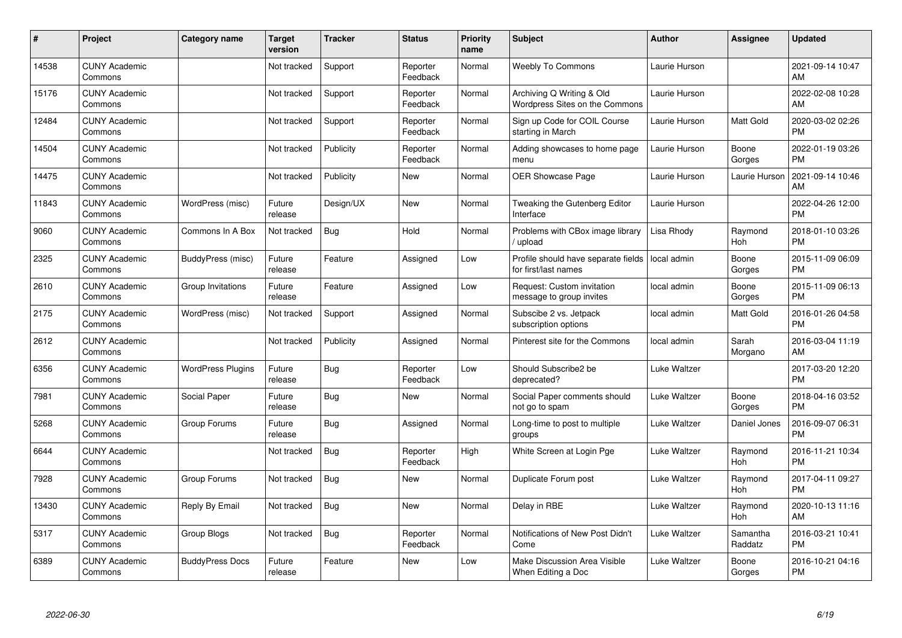| #     | Project                         | <b>Category name</b>     | <b>Target</b><br>version | <b>Tracker</b> | <b>Status</b>        | <b>Priority</b><br>name | <b>Subject</b>                                              | <b>Author</b> | <b>Assignee</b>     | <b>Updated</b>                |
|-------|---------------------------------|--------------------------|--------------------------|----------------|----------------------|-------------------------|-------------------------------------------------------------|---------------|---------------------|-------------------------------|
| 14538 | <b>CUNY Academic</b><br>Commons |                          | Not tracked              | Support        | Reporter<br>Feedback | Normal                  | <b>Weebly To Commons</b>                                    | Laurie Hurson |                     | 2021-09-14 10:47<br>AM.       |
| 15176 | <b>CUNY Academic</b><br>Commons |                          | Not tracked              | Support        | Reporter<br>Feedback | Normal                  | Archiving Q Writing & Old<br>Wordpress Sites on the Commons | Laurie Hurson |                     | 2022-02-08 10:28<br><b>AM</b> |
| 12484 | <b>CUNY Academic</b><br>Commons |                          | Not tracked              | Support        | Reporter<br>Feedback | Normal                  | Sign up Code for COIL Course<br>starting in March           | Laurie Hurson | Matt Gold           | 2020-03-02 02:26<br><b>PM</b> |
| 14504 | <b>CUNY Academic</b><br>Commons |                          | Not tracked              | Publicity      | Reporter<br>Feedback | Normal                  | Adding showcases to home page<br>menu                       | Laurie Hurson | Boone<br>Gorges     | 2022-01-19 03:26<br><b>PM</b> |
| 14475 | <b>CUNY Academic</b><br>Commons |                          | Not tracked              | Publicity      | <b>New</b>           | Normal                  | <b>OER Showcase Page</b>                                    | Laurie Hurson | Laurie Hurson       | 2021-09-14 10:46<br><b>AM</b> |
| 11843 | <b>CUNY Academic</b><br>Commons | WordPress (misc)         | Future<br>release        | Design/UX      | <b>New</b>           | Normal                  | Tweaking the Gutenberg Editor<br>Interface                  | Laurie Hurson |                     | 2022-04-26 12:00<br><b>PM</b> |
| 9060  | <b>CUNY Academic</b><br>Commons | Commons In A Box         | Not tracked              | <b>Bug</b>     | Hold                 | Normal                  | Problems with CBox image library<br>/ upload                | Lisa Rhody    | Raymond<br>Hoh      | 2018-01-10 03:26<br><b>PM</b> |
| 2325  | <b>CUNY Academic</b><br>Commons | BuddyPress (misc)        | Future<br>release        | Feature        | Assigned             | Low                     | Profile should have separate fields<br>for first/last names | local admin   | Boone<br>Gorges     | 2015-11-09 06:09<br><b>PM</b> |
| 2610  | <b>CUNY Academic</b><br>Commons | Group Invitations        | Future<br>release        | Feature        | Assigned             | Low                     | Request: Custom invitation<br>message to group invites      | local admin   | Boone<br>Gorges     | 2015-11-09 06:13<br><b>PM</b> |
| 2175  | <b>CUNY Academic</b><br>Commons | WordPress (misc)         | Not tracked              | Support        | Assigned             | Normal                  | Subscibe 2 vs. Jetpack<br>subscription options              | local admin   | Matt Gold           | 2016-01-26 04:58<br><b>PM</b> |
| 2612  | <b>CUNY Academic</b><br>Commons |                          | Not tracked              | Publicity      | Assigned             | Normal                  | Pinterest site for the Commons                              | local admin   | Sarah<br>Morgano    | 2016-03-04 11:19<br>AM        |
| 6356  | <b>CUNY Academic</b><br>Commons | <b>WordPress Plugins</b> | Future<br>release        | Bug            | Reporter<br>Feedback | Low                     | Should Subscribe2 be<br>deprecated?                         | Luke Waltzer  |                     | 2017-03-20 12:20<br><b>PM</b> |
| 7981  | <b>CUNY Academic</b><br>Commons | Social Paper             | Future<br>release        | Bug            | New                  | Normal                  | Social Paper comments should<br>not go to spam              | Luke Waltzer  | Boone<br>Gorges     | 2018-04-16 03:52<br><b>PM</b> |
| 5268  | <b>CUNY Academic</b><br>Commons | Group Forums             | Future<br>release        | Bug            | Assigned             | Normal                  | Long-time to post to multiple<br>groups                     | Luke Waltzer  | Daniel Jones        | 2016-09-07 06:31<br><b>PM</b> |
| 6644  | <b>CUNY Academic</b><br>Commons |                          | Not tracked              | <b>Bug</b>     | Reporter<br>Feedback | High                    | White Screen at Login Pge                                   | Luke Waltzer  | Raymond<br>Hoh      | 2016-11-21 10:34<br><b>PM</b> |
| 7928  | <b>CUNY Academic</b><br>Commons | Group Forums             | Not tracked              | Bug            | New                  | Normal                  | Duplicate Forum post                                        | Luke Waltzer  | Raymond<br>Hoh      | 2017-04-11 09:27<br><b>PM</b> |
| 13430 | <b>CUNY Academic</b><br>Commons | Reply By Email           | Not tracked              | Bug            | <b>New</b>           | Normal                  | Delay in RBE                                                | Luke Waltzer  | Raymond<br>Hoh      | 2020-10-13 11:16<br>AM        |
| 5317  | <b>CUNY Academic</b><br>Commons | Group Blogs              | Not tracked              | <b>Bug</b>     | Reporter<br>Feedback | Normal                  | Notifications of New Post Didn't<br>Come                    | Luke Waltzer  | Samantha<br>Raddatz | 2016-03-21 10:41<br><b>PM</b> |
| 6389  | <b>CUNY Academic</b><br>Commons | <b>BuddyPress Docs</b>   | Future<br>release        | Feature        | <b>New</b>           | Low                     | <b>Make Discussion Area Visible</b><br>When Editing a Doc   | Luke Waltzer  | Boone<br>Gorges     | 2016-10-21 04:16<br>PM        |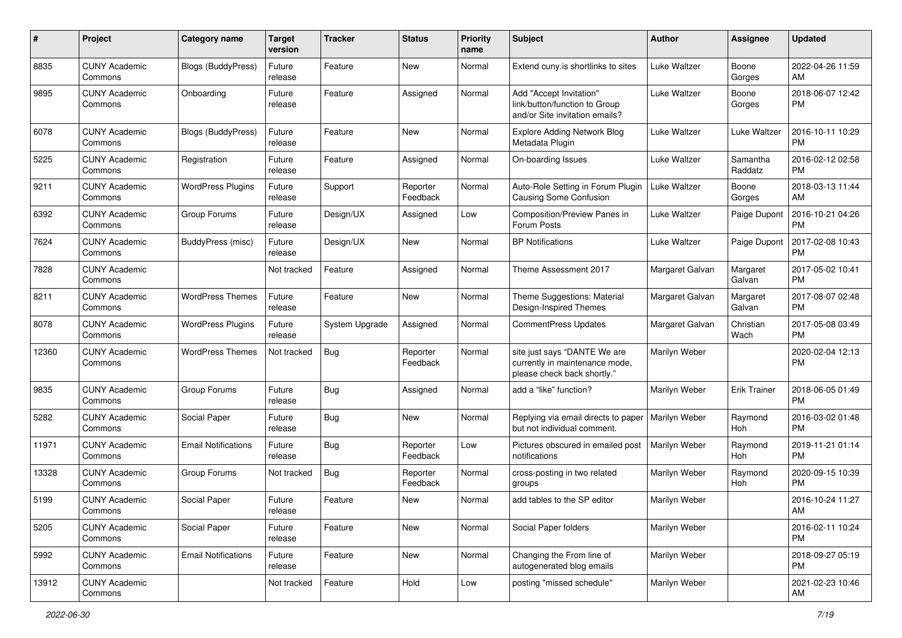| #     | Project                         | <b>Category name</b>       | <b>Target</b><br>version | <b>Tracker</b> | <b>Status</b>        | <b>Priority</b><br>name | Subject                                                                                       | Author                   | <b>Assignee</b>     | <b>Updated</b>                |
|-------|---------------------------------|----------------------------|--------------------------|----------------|----------------------|-------------------------|-----------------------------------------------------------------------------------------------|--------------------------|---------------------|-------------------------------|
| 8835  | <b>CUNY Academic</b><br>Commons | Blogs (BuddyPress)         | Future<br>release        | Feature        | <b>New</b>           | Normal                  | Extend cuny is shortlinks to sites                                                            | Luke Waltzer             | Boone<br>Gorges     | 2022-04-26 11:59<br>AM        |
| 9895  | <b>CUNY Academic</b><br>Commons | Onboarding                 | Future<br>release        | Feature        | Assigned             | Normal                  | Add "Accept Invitation"<br>link/button/function to Group<br>and/or Site invitation emails?    | Luke Waltzer             | Boone<br>Gorges     | 2018-06-07 12:42<br><b>PM</b> |
| 6078  | <b>CUNY Academic</b><br>Commons | <b>Blogs (BuddyPress)</b>  | Future<br>release        | Feature        | New                  | Normal                  | <b>Explore Adding Network Blog</b><br>Metadata Plugin                                         | Luke Waltzer             | Luke Waltzer        | 2016-10-11 10:29<br><b>PM</b> |
| 5225  | <b>CUNY Academic</b><br>Commons | Registration               | Future<br>release        | Feature        | Assigned             | Normal                  | On-boarding Issues                                                                            | Luke Waltzer             | Samantha<br>Raddatz | 2016-02-12 02:58<br><b>PM</b> |
| 9211  | <b>CUNY Academic</b><br>Commons | <b>WordPress Plugins</b>   | Future<br>release        | Support        | Reporter<br>Feedback | Normal                  | Auto-Role Setting in Forum Plugin<br>Causing Some Confusion                                   | uke Waltzer <sub>-</sub> | Boone<br>Gorges     | 2018-03-13 11:44<br>AM        |
| 6392  | <b>CUNY Academic</b><br>Commons | Group Forums               | Future<br>release        | Design/UX      | Assigned             | Low                     | Composition/Preview Panes in<br>Forum Posts                                                   | Luke Waltzer             | Paige Dupont        | 2016-10-21 04:26<br><b>PM</b> |
| 7624  | <b>CUNY Academic</b><br>Commons | BuddyPress (misc)          | Future<br>release        | Design/UX      | New                  | Normal                  | <b>BP</b> Notifications                                                                       | Luke Waltzer             | Paige Dupont        | 2017-02-08 10:43<br><b>PM</b> |
| 7828  | <b>CUNY Academic</b><br>Commons |                            | Not tracked              | Feature        | Assigned             | Normal                  | Theme Assessment 2017                                                                         | Margaret Galvan          | Margaret<br>Galvan  | 2017-05-02 10:41<br><b>PM</b> |
| 8211  | <b>CUNY Academic</b><br>Commons | <b>WordPress Themes</b>    | Future<br>release        | Feature        | <b>New</b>           | Normal                  | Theme Suggestions: Material<br>Design-Inspired Themes                                         | Margaret Galvan          | Margaret<br>Galvan  | 2017-08-07 02:48<br><b>PM</b> |
| 8078  | <b>CUNY Academic</b><br>Commons | <b>WordPress Plugins</b>   | Future<br>release        | System Upgrade | Assigned             | Normal                  | <b>CommentPress Updates</b>                                                                   | Margaret Galvan          | Christian<br>Wach   | 2017-05-08 03:49<br><b>PM</b> |
| 12360 | <b>CUNY Academic</b><br>Commons | <b>WordPress Themes</b>    | Not tracked              | Bug            | Reporter<br>Feedback | Normal                  | site just says "DANTE We are<br>currently in maintenance mode,<br>please check back shortly." | Marilyn Weber            |                     | 2020-02-04 12:13<br><b>PM</b> |
| 9835  | <b>CUNY Academic</b><br>Commons | Group Forums               | Future<br>release        | Bug            | Assigned             | Normal                  | add a "like" function?                                                                        | Marilyn Weber            | <b>Erik Trainer</b> | 2018-06-05 01:49<br><b>PM</b> |
| 5282  | <b>CUNY Academic</b><br>Commons | Social Paper               | Future<br>release        | Bug            | <b>New</b>           | Normal                  | Replying via email directs to paper<br>but not individual comment.                            | Marilyn Weber            | Raymond<br>Hoh      | 2016-03-02 01:48<br><b>PM</b> |
| 11971 | <b>CUNY Academic</b><br>Commons | <b>Email Notifications</b> | Future<br>release        | Bug            | Reporter<br>Feedback | Low                     | Pictures obscured in emailed post<br>notifications                                            | Marilyn Weber            | Raymond<br>Hoh      | 2019-11-21 01:14<br><b>PM</b> |
| 13328 | <b>CUNY Academic</b><br>Commons | Group Forums               | Not tracked              | Bug            | Reporter<br>Feedback | Normal                  | cross-posting in two related<br>groups                                                        | Marilyn Weber            | Raymond<br>Hoh      | 2020-09-15 10:39<br><b>PM</b> |
| 5199  | <b>CUNY Academic</b><br>Commons | Social Paper               | Future<br>release        | Feature        | New                  | Normal                  | add tables to the SP editor                                                                   | Marilyn Weber            |                     | 2016-10-24 11:27<br>AM        |
| 5205  | <b>CUNY Academic</b><br>Commons | Social Paper               | Future<br>release        | Feature        | New                  | Normal                  | Social Paper folders                                                                          | Marilyn Weber            |                     | 2016-02-11 10:24<br><b>PM</b> |
| 5992  | <b>CUNY Academic</b><br>Commons | <b>Email Notifications</b> | Future<br>release        | Feature        | New                  | Normal                  | Changing the From line of<br>autogenerated blog emails                                        | Marilyn Weber            |                     | 2018-09-27 05:19<br><b>PM</b> |
| 13912 | <b>CUNY Academic</b><br>Commons |                            | Not tracked              | Feature        | Hold                 | Low                     | posting "missed schedule"                                                                     | Marilyn Weber            |                     | 2021-02-23 10:46<br>AM        |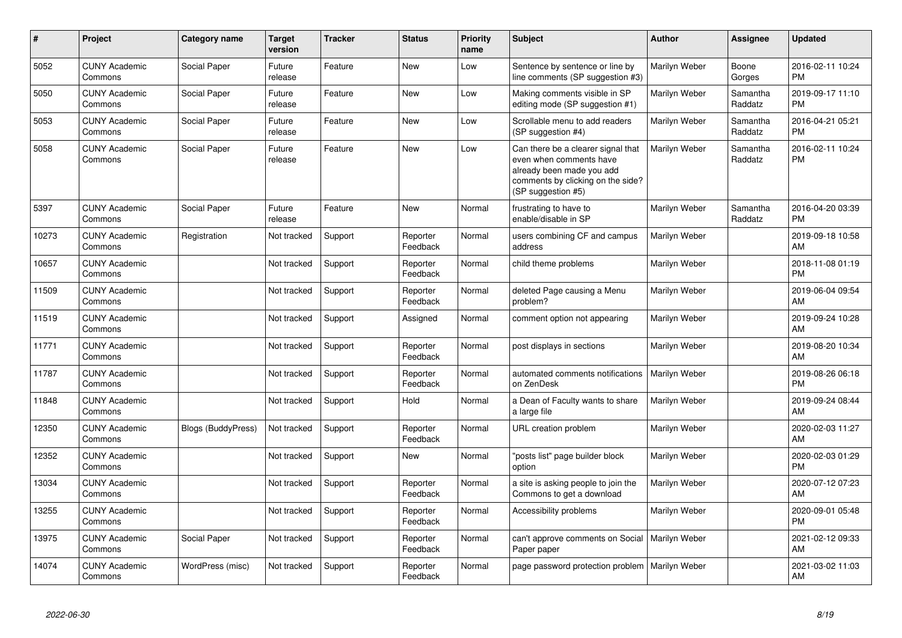| #     | Project                         | <b>Category name</b>      | <b>Target</b><br>version | <b>Tracker</b> | <b>Status</b>        | <b>Priority</b><br>name | <b>Subject</b>                                                                                                                                        | Author        | Assignee            | <b>Updated</b>                |
|-------|---------------------------------|---------------------------|--------------------------|----------------|----------------------|-------------------------|-------------------------------------------------------------------------------------------------------------------------------------------------------|---------------|---------------------|-------------------------------|
| 5052  | <b>CUNY Academic</b><br>Commons | Social Paper              | Future<br>release        | Feature        | <b>New</b>           | Low                     | Sentence by sentence or line by<br>line comments (SP suggestion #3)                                                                                   | Marilyn Weber | Boone<br>Gorges     | 2016-02-11 10:24<br><b>PM</b> |
| 5050  | <b>CUNY Academic</b><br>Commons | Social Paper              | Future<br>release        | Feature        | <b>New</b>           | Low                     | Making comments visible in SP<br>editing mode (SP suggestion #1)                                                                                      | Marilyn Weber | Samantha<br>Raddatz | 2019-09-17 11:10<br><b>PM</b> |
| 5053  | <b>CUNY Academic</b><br>Commons | Social Paper              | Future<br>release        | Feature        | <b>New</b>           | Low                     | Scrollable menu to add readers<br>(SP suggestion #4)                                                                                                  | Marilyn Weber | Samantha<br>Raddatz | 2016-04-21 05:21<br><b>PM</b> |
| 5058  | <b>CUNY Academic</b><br>Commons | Social Paper              | Future<br>release        | Feature        | <b>New</b>           | Low                     | Can there be a clearer signal that<br>even when comments have<br>already been made you add<br>comments by clicking on the side?<br>(SP suggestion #5) | Marilyn Weber | Samantha<br>Raddatz | 2016-02-11 10:24<br><b>PM</b> |
| 5397  | <b>CUNY Academic</b><br>Commons | Social Paper              | Future<br>release        | Feature        | <b>New</b>           | Normal                  | frustrating to have to<br>enable/disable in SP                                                                                                        | Marilyn Weber | Samantha<br>Raddatz | 2016-04-20 03:39<br><b>PM</b> |
| 10273 | <b>CUNY Academic</b><br>Commons | Registration              | Not tracked              | Support        | Reporter<br>Feedback | Normal                  | users combining CF and campus<br>address                                                                                                              | Marilyn Weber |                     | 2019-09-18 10:58<br>AM        |
| 10657 | <b>CUNY Academic</b><br>Commons |                           | Not tracked              | Support        | Reporter<br>Feedback | Normal                  | child theme problems                                                                                                                                  | Marilyn Weber |                     | 2018-11-08 01:19<br><b>PM</b> |
| 11509 | <b>CUNY Academic</b><br>Commons |                           | Not tracked              | Support        | Reporter<br>Feedback | Normal                  | deleted Page causing a Menu<br>problem?                                                                                                               | Marilyn Weber |                     | 2019-06-04 09:54<br><b>AM</b> |
| 11519 | <b>CUNY Academic</b><br>Commons |                           | Not tracked              | Support        | Assigned             | Normal                  | comment option not appearing                                                                                                                          | Marilyn Weber |                     | 2019-09-24 10:28<br>AM        |
| 11771 | <b>CUNY Academic</b><br>Commons |                           | Not tracked              | Support        | Reporter<br>Feedback | Normal                  | post displays in sections                                                                                                                             | Marilyn Weber |                     | 2019-08-20 10:34<br>AM        |
| 11787 | <b>CUNY Academic</b><br>Commons |                           | Not tracked              | Support        | Reporter<br>Feedback | Normal                  | automated comments notifications<br>on ZenDesk                                                                                                        | Marilyn Weber |                     | 2019-08-26 06:18<br><b>PM</b> |
| 11848 | <b>CUNY Academic</b><br>Commons |                           | Not tracked              | Support        | Hold                 | Normal                  | a Dean of Faculty wants to share<br>a large file                                                                                                      | Marilyn Weber |                     | 2019-09-24 08:44<br>AM        |
| 12350 | <b>CUNY Academic</b><br>Commons | <b>Blogs (BuddyPress)</b> | Not tracked              | Support        | Reporter<br>Feedback | Normal                  | URL creation problem                                                                                                                                  | Marilyn Weber |                     | 2020-02-03 11:27<br>AM        |
| 12352 | <b>CUNY Academic</b><br>Commons |                           | Not tracked              | Support        | <b>New</b>           | Normal                  | "posts list" page builder block<br>option                                                                                                             | Marilyn Weber |                     | 2020-02-03 01:29<br><b>PM</b> |
| 13034 | <b>CUNY Academic</b><br>Commons |                           | Not tracked              | Support        | Reporter<br>Feedback | Normal                  | a site is asking people to join the<br>Commons to get a download                                                                                      | Marilyn Weber |                     | 2020-07-12 07:23<br>AM        |
| 13255 | <b>CUNY Academic</b><br>Commons |                           | Not tracked              | Support        | Reporter<br>Feedback | Normal                  | Accessibility problems                                                                                                                                | Marilyn Weber |                     | 2020-09-01 05:48<br><b>PM</b> |
| 13975 | <b>CUNY Academic</b><br>Commons | Social Paper              | Not tracked              | Support        | Reporter<br>Feedback | Normal                  | can't approve comments on Social<br>Paper paper                                                                                                       | Marilyn Weber |                     | 2021-02-12 09:33<br>AM        |
| 14074 | <b>CUNY Academic</b><br>Commons | WordPress (misc)          | Not tracked              | Support        | Reporter<br>Feedback | Normal                  | page password protection problem                                                                                                                      | Marilyn Weber |                     | 2021-03-02 11:03<br>AM        |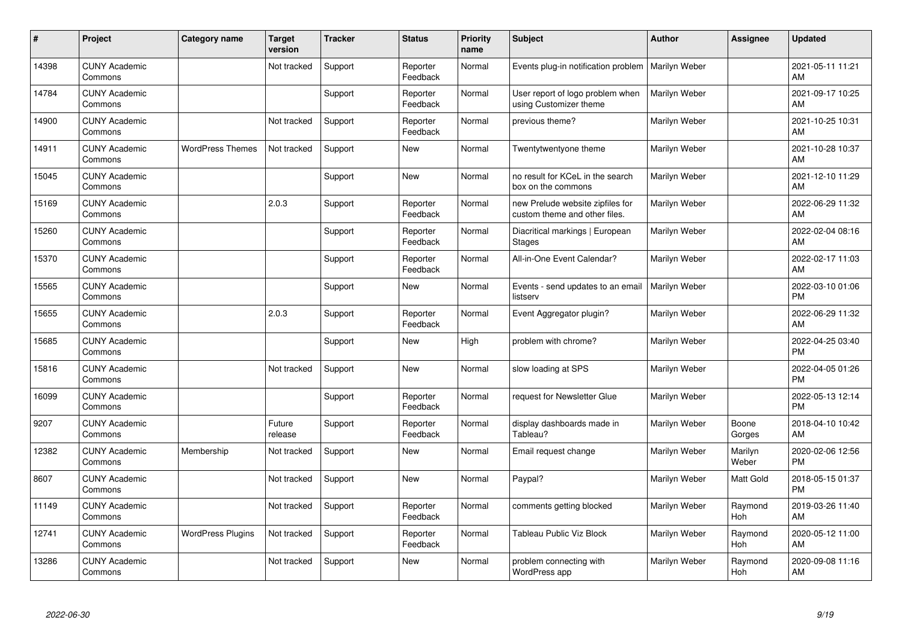| ∦     | Project                         | Category name            | <b>Target</b><br>version | <b>Tracker</b> | <b>Status</b>        | <b>Priority</b><br>name | <b>Subject</b>                                                    | <b>Author</b> | <b>Assignee</b>  | <b>Updated</b>                |
|-------|---------------------------------|--------------------------|--------------------------|----------------|----------------------|-------------------------|-------------------------------------------------------------------|---------------|------------------|-------------------------------|
| 14398 | <b>CUNY Academic</b><br>Commons |                          | Not tracked              | Support        | Reporter<br>Feedback | Normal                  | Events plug-in notification problem                               | Marilyn Weber |                  | 2021-05-11 11:21<br>AM        |
| 14784 | <b>CUNY Academic</b><br>Commons |                          |                          | Support        | Reporter<br>Feedback | Normal                  | User report of logo problem when<br>using Customizer theme        | Marilyn Weber |                  | 2021-09-17 10:25<br>AM        |
| 14900 | <b>CUNY Academic</b><br>Commons |                          | Not tracked              | Support        | Reporter<br>Feedback | Normal                  | previous theme?                                                   | Marilyn Weber |                  | 2021-10-25 10:31<br>AM        |
| 14911 | <b>CUNY Academic</b><br>Commons | <b>WordPress Themes</b>  | Not tracked              | Support        | <b>New</b>           | Normal                  | Twentytwentyone theme                                             | Marilyn Weber |                  | 2021-10-28 10:37<br>AM        |
| 15045 | <b>CUNY Academic</b><br>Commons |                          |                          | Support        | <b>New</b>           | Normal                  | no result for KCeL in the search<br>box on the commons            | Marilyn Weber |                  | 2021-12-10 11:29<br>AM        |
| 15169 | <b>CUNY Academic</b><br>Commons |                          | 2.0.3                    | Support        | Reporter<br>Feedback | Normal                  | new Prelude website zipfiles for<br>custom theme and other files. | Marilyn Weber |                  | 2022-06-29 11:32<br>AM        |
| 15260 | <b>CUNY Academic</b><br>Commons |                          |                          | Support        | Reporter<br>Feedback | Normal                  | Diacritical markings   European<br><b>Stages</b>                  | Marilyn Weber |                  | 2022-02-04 08:16<br>AM        |
| 15370 | <b>CUNY Academic</b><br>Commons |                          |                          | Support        | Reporter<br>Feedback | Normal                  | All-in-One Event Calendar?                                        | Marilyn Weber |                  | 2022-02-17 11:03<br>AM        |
| 15565 | <b>CUNY Academic</b><br>Commons |                          |                          | Support        | New                  | Normal                  | Events - send updates to an email<br>listserv                     | Marilyn Weber |                  | 2022-03-10 01:06<br><b>PM</b> |
| 15655 | <b>CUNY Academic</b><br>Commons |                          | 2.0.3                    | Support        | Reporter<br>Feedback | Normal                  | Event Aggregator plugin?                                          | Marilyn Weber |                  | 2022-06-29 11:32<br>AM        |
| 15685 | <b>CUNY Academic</b><br>Commons |                          |                          | Support        | <b>New</b>           | High                    | problem with chrome?                                              | Marilyn Weber |                  | 2022-04-25 03:40<br><b>PM</b> |
| 15816 | <b>CUNY Academic</b><br>Commons |                          | Not tracked              | Support        | <b>New</b>           | Normal                  | slow loading at SPS                                               | Marilyn Weber |                  | 2022-04-05 01:26<br><b>PM</b> |
| 16099 | <b>CUNY Academic</b><br>Commons |                          |                          | Support        | Reporter<br>Feedback | Normal                  | request for Newsletter Glue                                       | Marilyn Weber |                  | 2022-05-13 12:14<br><b>PM</b> |
| 9207  | <b>CUNY Academic</b><br>Commons |                          | Future<br>release        | Support        | Reporter<br>Feedback | Normal                  | display dashboards made in<br>Tableau?                            | Marilyn Weber | Boone<br>Gorges  | 2018-04-10 10:42<br><b>AM</b> |
| 12382 | <b>CUNY Academic</b><br>Commons | Membership               | Not tracked              | Support        | New                  | Normal                  | Email request change                                              | Marilyn Weber | Marilyn<br>Weber | 2020-02-06 12:56<br><b>PM</b> |
| 8607  | <b>CUNY Academic</b><br>Commons |                          | Not tracked              | Support        | <b>New</b>           | Normal                  | Paypal?                                                           | Marilyn Weber | Matt Gold        | 2018-05-15 01:37<br><b>PM</b> |
| 11149 | <b>CUNY Academic</b><br>Commons |                          | Not tracked              | Support        | Reporter<br>Feedback | Normal                  | comments getting blocked                                          | Marilyn Weber | Raymond<br>Hoh   | 2019-03-26 11:40<br>AM        |
| 12741 | <b>CUNY Academic</b><br>Commons | <b>WordPress Plugins</b> | Not tracked              | Support        | Reporter<br>Feedback | Normal                  | Tableau Public Viz Block                                          | Marilyn Weber | Raymond<br>Hoh   | 2020-05-12 11:00<br>AM        |
| 13286 | <b>CUNY Academic</b><br>Commons |                          | Not tracked              | Support        | <b>New</b>           | Normal                  | problem connecting with<br>WordPress app                          | Marilyn Weber | Raymond<br>Hoh   | 2020-09-08 11:16<br>AM        |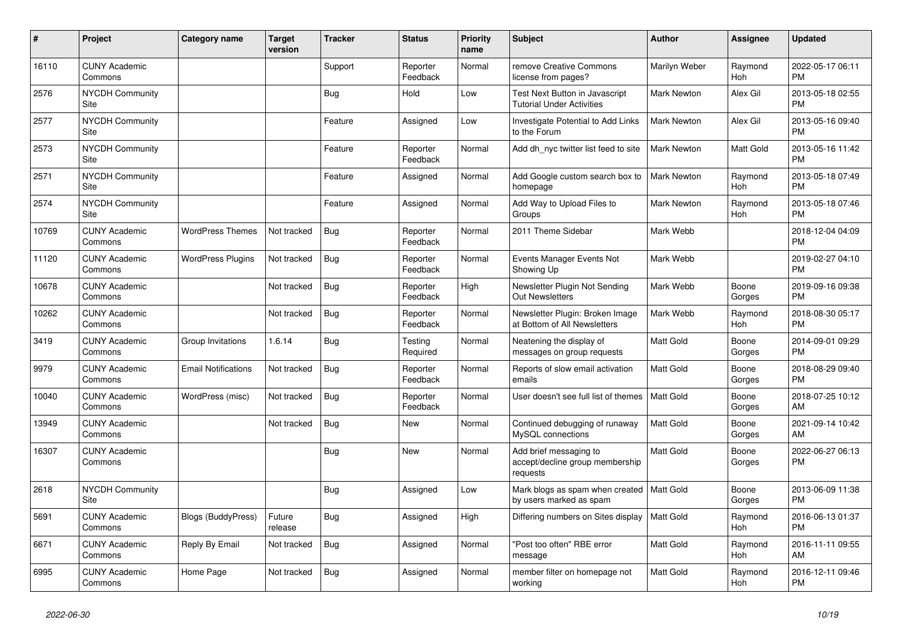| #     | <b>Project</b>                  | Category name              | <b>Target</b><br>version | <b>Tracker</b> | <b>Status</b>        | <b>Priority</b><br>name | <b>Subject</b>                                                        | <b>Author</b>      | Assignee        | <b>Updated</b>                |
|-------|---------------------------------|----------------------------|--------------------------|----------------|----------------------|-------------------------|-----------------------------------------------------------------------|--------------------|-----------------|-------------------------------|
| 16110 | <b>CUNY Academic</b><br>Commons |                            |                          | Support        | Reporter<br>Feedback | Normal                  | remove Creative Commons<br>license from pages?                        | Marilyn Weber      | Raymond<br>Hoh  | 2022-05-17 06:11<br><b>PM</b> |
| 2576  | <b>NYCDH Community</b><br>Site  |                            |                          | Bug            | Hold                 | Low                     | Test Next Button in Javascript<br><b>Tutorial Under Activities</b>    | <b>Mark Newton</b> | Alex Gil        | 2013-05-18 02:55<br><b>PM</b> |
| 2577  | <b>NYCDH Community</b><br>Site  |                            |                          | Feature        | Assigned             | Low                     | Investigate Potential to Add Links<br>to the Forum                    | <b>Mark Newton</b> | Alex Gil        | 2013-05-16 09:40<br><b>PM</b> |
| 2573  | <b>NYCDH Community</b><br>Site  |                            |                          | Feature        | Reporter<br>Feedback | Normal                  | Add dh nyc twitter list feed to site                                  | Mark Newton        | Matt Gold       | 2013-05-16 11:42<br><b>PM</b> |
| 2571  | <b>NYCDH Community</b><br>Site  |                            |                          | Feature        | Assigned             | Normal                  | Add Google custom search box to<br>homepage                           | <b>Mark Newton</b> | Raymond<br>Hoh  | 2013-05-18 07:49<br><b>PM</b> |
| 2574  | <b>NYCDH Community</b><br>Site  |                            |                          | Feature        | Assigned             | Normal                  | Add Way to Upload Files to<br>Groups                                  | <b>Mark Newton</b> | Raymond<br>Hoh  | 2013-05-18 07:46<br><b>PM</b> |
| 10769 | <b>CUNY Academic</b><br>Commons | <b>WordPress Themes</b>    | Not tracked              | Bug            | Reporter<br>Feedback | Normal                  | 2011 Theme Sidebar                                                    | Mark Webb          |                 | 2018-12-04 04:09<br><b>PM</b> |
| 11120 | <b>CUNY Academic</b><br>Commons | <b>WordPress Plugins</b>   | Not tracked              | <b>Bug</b>     | Reporter<br>Feedback | Normal                  | Events Manager Events Not<br>Showing Up                               | Mark Webb          |                 | 2019-02-27 04:10<br><b>PM</b> |
| 10678 | <b>CUNY Academic</b><br>Commons |                            | Not tracked              | Bug            | Reporter<br>Feedback | High                    | Newsletter Plugin Not Sending<br><b>Out Newsletters</b>               | Mark Webb          | Boone<br>Gorges | 2019-09-16 09:38<br><b>PM</b> |
| 10262 | <b>CUNY Academic</b><br>Commons |                            | Not tracked              | Bug            | Reporter<br>Feedback | Normal                  | Newsletter Plugin: Broken Image<br>at Bottom of All Newsletters       | Mark Webb          | Raymond<br>Hoh  | 2018-08-30 05:17<br><b>PM</b> |
| 3419  | <b>CUNY Academic</b><br>Commons | Group Invitations          | 1.6.14                   | Bug            | Testing<br>Required  | Normal                  | Neatening the display of<br>messages on group requests                | <b>Matt Gold</b>   | Boone<br>Gorges | 2014-09-01 09:29<br><b>PM</b> |
| 9979  | <b>CUNY Academic</b><br>Commons | <b>Email Notifications</b> | Not tracked              | <b>Bug</b>     | Reporter<br>Feedback | Normal                  | Reports of slow email activation<br>emails                            | <b>Matt Gold</b>   | Boone<br>Gorges | 2018-08-29 09:40<br><b>PM</b> |
| 10040 | <b>CUNY Academic</b><br>Commons | WordPress (misc)           | Not tracked              | Bug            | Reporter<br>Feedback | Normal                  | User doesn't see full list of themes                                  | l Matt Gold        | Boone<br>Gorges | 2018-07-25 10:12<br>AM        |
| 13949 | <b>CUNY Academic</b><br>Commons |                            | Not tracked              | Bug            | <b>New</b>           | Normal                  | Continued debugging of runaway<br>MySQL connections                   | Matt Gold          | Boone<br>Gorges | 2021-09-14 10:42<br>AM        |
| 16307 | <b>CUNY Academic</b><br>Commons |                            |                          | Bug            | New                  | Normal                  | Add brief messaging to<br>accept/decline group membership<br>requests | Matt Gold          | Boone<br>Gorges | 2022-06-27 06:13<br><b>PM</b> |
| 2618  | <b>NYCDH Community</b><br>Site  |                            |                          | <b>Bug</b>     | Assigned             | Low                     | Mark blogs as spam when created<br>by users marked as spam            | Matt Gold          | Boone<br>Gorges | 2013-06-09 11:38<br><b>PM</b> |
| 5691  | <b>CUNY Academic</b><br>Commons | <b>Blogs (BuddyPress)</b>  | Future<br>release        | Bug            | Assigned             | High                    | Differing numbers on Sites display                                    | Matt Gold          | Raymond<br>Hoh  | 2016-06-13 01:37<br><b>PM</b> |
| 6671  | <b>CUNY Academic</b><br>Commons | Reply By Email             | Not tracked              | Bug            | Assigned             | Normal                  | 'Post too often" RBE error<br>message                                 | <b>Matt Gold</b>   | Raymond<br>Hoh  | 2016-11-11 09:55<br>AM        |
| 6995  | <b>CUNY Academic</b><br>Commons | Home Page                  | Not tracked              | Bug            | Assigned             | Normal                  | member filter on homepage not<br>working                              | <b>Matt Gold</b>   | Raymond<br>Hoh  | 2016-12-11 09:46<br><b>PM</b> |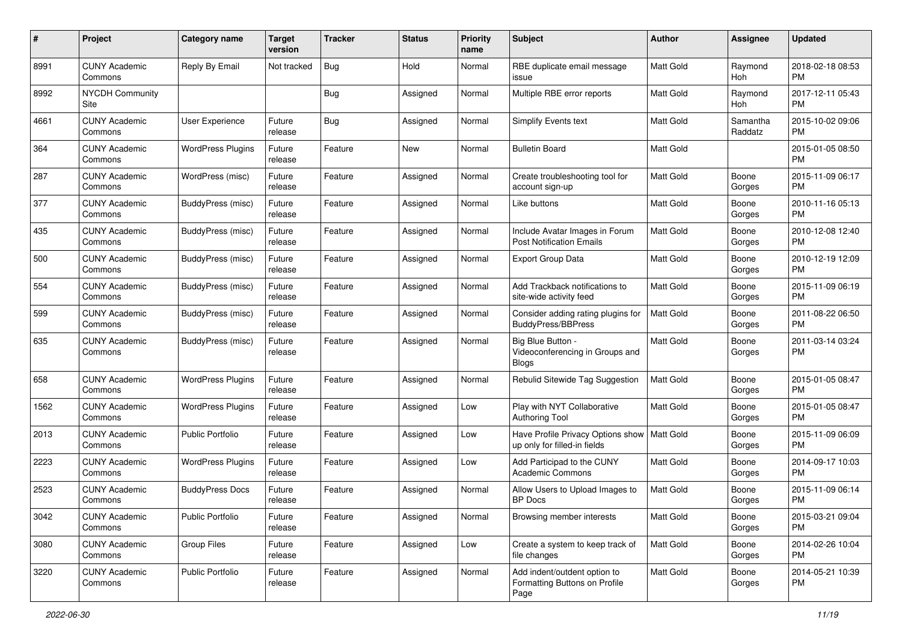| #    | Project                         | <b>Category name</b>     | <b>Target</b><br>version | <b>Tracker</b> | <b>Status</b> | Priority<br>name | <b>Subject</b>                                                                | Author           | <b>Assignee</b>     | <b>Updated</b>                |
|------|---------------------------------|--------------------------|--------------------------|----------------|---------------|------------------|-------------------------------------------------------------------------------|------------------|---------------------|-------------------------------|
| 8991 | <b>CUNY Academic</b><br>Commons | Reply By Email           | Not tracked              | Bug            | Hold          | Normal           | RBE duplicate email message<br>issue                                          | <b>Matt Gold</b> | Raymond<br>Hoh      | 2018-02-18 08:53<br><b>PM</b> |
| 8992 | <b>NYCDH Community</b><br>Site  |                          |                          | <b>Bug</b>     | Assigned      | Normal           | Multiple RBE error reports                                                    | <b>Matt Gold</b> | Raymond<br>Hoh      | 2017-12-11 05:43<br><b>PM</b> |
| 4661 | <b>CUNY Academic</b><br>Commons | <b>User Experience</b>   | Future<br>release        | Bug            | Assigned      | Normal           | <b>Simplify Events text</b>                                                   | Matt Gold        | Samantha<br>Raddatz | 2015-10-02 09:06<br><b>PM</b> |
| 364  | <b>CUNY Academic</b><br>Commons | <b>WordPress Plugins</b> | Future<br>release        | Feature        | New           | Normal           | <b>Bulletin Board</b>                                                         | Matt Gold        |                     | 2015-01-05 08:50<br><b>PM</b> |
| 287  | <b>CUNY Academic</b><br>Commons | WordPress (misc)         | Future<br>release        | Feature        | Assigned      | Normal           | Create troubleshooting tool for<br>account sign-up                            | <b>Matt Gold</b> | Boone<br>Gorges     | 2015-11-09 06:17<br><b>PM</b> |
| 377  | <b>CUNY Academic</b><br>Commons | <b>BuddyPress (misc)</b> | Future<br>release        | Feature        | Assigned      | Normal           | Like buttons                                                                  | <b>Matt Gold</b> | Boone<br>Gorges     | 2010-11-16 05:13<br><b>PM</b> |
| 435  | <b>CUNY Academic</b><br>Commons | <b>BuddyPress (misc)</b> | Future<br>release        | Feature        | Assigned      | Normal           | Include Avatar Images in Forum<br><b>Post Notification Emails</b>             | Matt Gold        | Boone<br>Gorges     | 2010-12-08 12:40<br><b>PM</b> |
| 500  | <b>CUNY Academic</b><br>Commons | BuddyPress (misc)        | Future<br>release        | Feature        | Assigned      | Normal           | Export Group Data                                                             | <b>Matt Gold</b> | Boone<br>Gorges     | 2010-12-19 12:09<br><b>PM</b> |
| 554  | <b>CUNY Academic</b><br>Commons | <b>BuddyPress (misc)</b> | Future<br>release        | Feature        | Assigned      | Normal           | Add Trackback notifications to<br>site-wide activity feed                     | <b>Matt Gold</b> | Boone<br>Gorges     | 2015-11-09 06:19<br><b>PM</b> |
| 599  | <b>CUNY Academic</b><br>Commons | BuddyPress (misc)        | Future<br>release        | Feature        | Assigned      | Normal           | Consider adding rating plugins for<br><b>BuddyPress/BBPress</b>               | Matt Gold        | Boone<br>Gorges     | 2011-08-22 06:50<br><b>PM</b> |
| 635  | <b>CUNY Academic</b><br>Commons | BuddyPress (misc)        | Future<br>release        | Feature        | Assigned      | Normal           | Big Blue Button -<br>Videoconferencing in Groups and<br><b>Blogs</b>          | <b>Matt Gold</b> | Boone<br>Gorges     | 2011-03-14 03:24<br><b>PM</b> |
| 658  | <b>CUNY Academic</b><br>Commons | <b>WordPress Plugins</b> | Future<br>release        | Feature        | Assigned      | Normal           | Rebulid Sitewide Tag Suggestion                                               | <b>Matt Gold</b> | Boone<br>Gorges     | 2015-01-05 08:47<br><b>PM</b> |
| 1562 | <b>CUNY Academic</b><br>Commons | <b>WordPress Plugins</b> | Future<br>release        | Feature        | Assigned      | Low              | Play with NYT Collaborative<br><b>Authoring Tool</b>                          | <b>Matt Gold</b> | Boone<br>Gorges     | 2015-01-05 08:47<br><b>PM</b> |
| 2013 | <b>CUNY Academic</b><br>Commons | <b>Public Portfolio</b>  | Future<br>release        | Feature        | Assigned      | Low              | Have Profile Privacy Options show   Matt Gold<br>up only for filled-in fields |                  | Boone<br>Gorges     | 2015-11-09 06:09<br><b>PM</b> |
| 2223 | <b>CUNY Academic</b><br>Commons | <b>WordPress Plugins</b> | Future<br>release        | Feature        | Assigned      | Low              | Add Participad to the CUNY<br><b>Academic Commons</b>                         | Matt Gold        | Boone<br>Gorges     | 2014-09-17 10:03<br><b>PM</b> |
| 2523 | <b>CUNY Academic</b><br>Commons | <b>BuddyPress Docs</b>   | Future<br>release        | Feature        | Assigned      | Normal           | Allow Users to Upload Images to<br>BP Docs                                    | <b>Matt Gold</b> | Boone<br>Gorges     | 2015-11-09 06:14<br><b>PM</b> |
| 3042 | <b>CUNY Academic</b><br>Commons | <b>Public Portfolio</b>  | Future<br>release        | Feature        | Assigned      | Normal           | Browsing member interests                                                     | <b>Matt Gold</b> | Boone<br>Gorges     | 2015-03-21 09:04<br><b>PM</b> |
| 3080 | <b>CUNY Academic</b><br>Commons | Group Files              | Future<br>release        | Feature        | Assigned      | Low              | Create a system to keep track of<br>file changes                              | Matt Gold        | Boone<br>Gorges     | 2014-02-26 10:04<br><b>PM</b> |
| 3220 | <b>CUNY Academic</b><br>Commons | Public Portfolio         | Future<br>release        | Feature        | Assigned      | Normal           | Add indent/outdent option to<br>Formatting Buttons on Profile<br>Page         | Matt Gold        | Boone<br>Gorges     | 2014-05-21 10:39<br><b>PM</b> |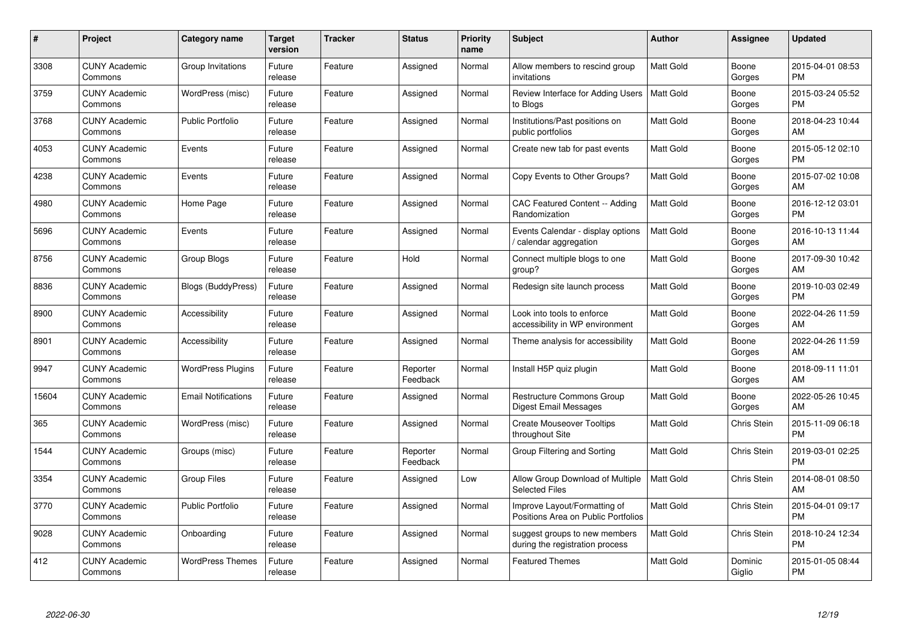| #     | Project                         | <b>Category name</b>       | Target<br>version | <b>Tracker</b> | <b>Status</b>        | Priority<br>name | <b>Subject</b>                                                      | <b>Author</b>    | <b>Assignee</b>    | <b>Updated</b>                |
|-------|---------------------------------|----------------------------|-------------------|----------------|----------------------|------------------|---------------------------------------------------------------------|------------------|--------------------|-------------------------------|
| 3308  | <b>CUNY Academic</b><br>Commons | Group Invitations          | Future<br>release | Feature        | Assigned             | Normal           | Allow members to rescind group<br>invitations                       | <b>Matt Gold</b> | Boone<br>Gorges    | 2015-04-01 08:53<br><b>PM</b> |
| 3759  | <b>CUNY Academic</b><br>Commons | WordPress (misc)           | Future<br>release | Feature        | Assigned             | Normal           | Review Interface for Adding Users<br>to Blogs                       | Matt Gold        | Boone<br>Gorges    | 2015-03-24 05:52<br><b>PM</b> |
| 3768  | <b>CUNY Academic</b><br>Commons | <b>Public Portfolio</b>    | Future<br>release | Feature        | Assigned             | Normal           | Institutions/Past positions on<br>public portfolios                 | <b>Matt Gold</b> | Boone<br>Gorges    | 2018-04-23 10:44<br>AM        |
| 4053  | <b>CUNY Academic</b><br>Commons | Events                     | Future<br>release | Feature        | Assigned             | Normal           | Create new tab for past events                                      | Matt Gold        | Boone<br>Gorges    | 2015-05-12 02:10<br><b>PM</b> |
| 4238  | <b>CUNY Academic</b><br>Commons | Events                     | Future<br>release | Feature        | Assigned             | Normal           | Copy Events to Other Groups?                                        | Matt Gold        | Boone<br>Gorges    | 2015-07-02 10:08<br>AM        |
| 4980  | <b>CUNY Academic</b><br>Commons | Home Page                  | Future<br>release | Feature        | Assigned             | Normal           | CAC Featured Content -- Adding<br>Randomization                     | <b>Matt Gold</b> | Boone<br>Gorges    | 2016-12-12 03:01<br><b>PM</b> |
| 5696  | <b>CUNY Academic</b><br>Commons | Events                     | Future<br>release | Feature        | Assigned             | Normal           | Events Calendar - display options<br>calendar aggregation /         | Matt Gold        | Boone<br>Gorges    | 2016-10-13 11:44<br>AM        |
| 8756  | <b>CUNY Academic</b><br>Commons | Group Blogs                | Future<br>release | Feature        | Hold                 | Normal           | Connect multiple blogs to one<br>group?                             | <b>Matt Gold</b> | Boone<br>Gorges    | 2017-09-30 10:42<br>AM        |
| 8836  | <b>CUNY Academic</b><br>Commons | <b>Blogs (BuddyPress)</b>  | Future<br>release | Feature        | Assigned             | Normal           | Redesign site launch process                                        | <b>Matt Gold</b> | Boone<br>Gorges    | 2019-10-03 02:49<br><b>PM</b> |
| 8900  | <b>CUNY Academic</b><br>Commons | Accessibility              | Future<br>release | Feature        | Assigned             | Normal           | Look into tools to enforce<br>accessibility in WP environment       | <b>Matt Gold</b> | Boone<br>Gorges    | 2022-04-26 11:59<br>AM        |
| 8901  | <b>CUNY Academic</b><br>Commons | Accessibility              | Future<br>release | Feature        | Assigned             | Normal           | Theme analysis for accessibility                                    | Matt Gold        | Boone<br>Gorges    | 2022-04-26 11:59<br>AM        |
| 9947  | <b>CUNY Academic</b><br>Commons | <b>WordPress Plugins</b>   | Future<br>release | Feature        | Reporter<br>Feedback | Normal           | Install H5P quiz plugin                                             | <b>Matt Gold</b> | Boone<br>Gorges    | 2018-09-11 11:01<br>AM        |
| 15604 | <b>CUNY Academic</b><br>Commons | <b>Email Notifications</b> | Future<br>release | Feature        | Assigned             | Normal           | <b>Restructure Commons Group</b><br>Digest Email Messages           | Matt Gold        | Boone<br>Gorges    | 2022-05-26 10:45<br>AM        |
| 365   | <b>CUNY Academic</b><br>Commons | WordPress (misc)           | Future<br>release | Feature        | Assigned             | Normal           | <b>Create Mouseover Tooltips</b><br>throughout Site                 | Matt Gold        | <b>Chris Stein</b> | 2015-11-09 06:18<br><b>PM</b> |
| 1544  | <b>CUNY Academic</b><br>Commons | Groups (misc)              | Future<br>release | Feature        | Reporter<br>Feedback | Normal           | Group Filtering and Sorting                                         | Matt Gold        | Chris Stein        | 2019-03-01 02:25<br><b>PM</b> |
| 3354  | <b>CUNY Academic</b><br>Commons | <b>Group Files</b>         | Future<br>release | Feature        | Assigned             | Low              | Allow Group Download of Multiple<br><b>Selected Files</b>           | Matt Gold        | Chris Stein        | 2014-08-01 08:50<br>AM        |
| 3770  | <b>CUNY Academic</b><br>Commons | <b>Public Portfolio</b>    | Future<br>release | Feature        | Assigned             | Normal           | Improve Layout/Formatting of<br>Positions Area on Public Portfolios | Matt Gold        | Chris Stein        | 2015-04-01 09:17<br><b>PM</b> |
| 9028  | <b>CUNY Academic</b><br>Commons | Onboarding                 | Future<br>release | Feature        | Assigned             | Normal           | suggest groups to new members<br>during the registration process    | Matt Gold        | Chris Stein        | 2018-10-24 12:34<br><b>PM</b> |
| 412   | <b>CUNY Academic</b><br>Commons | <b>WordPress Themes</b>    | Future<br>release | Feature        | Assigned             | Normal           | <b>Featured Themes</b>                                              | Matt Gold        | Dominic<br>Giglio  | 2015-01-05 08:44<br>PM        |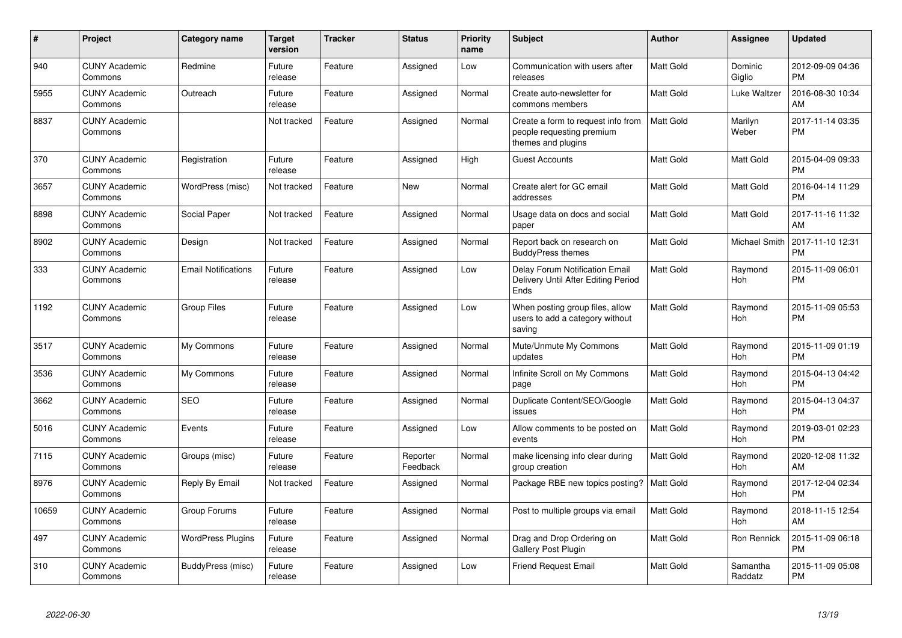| #     | Project                         | <b>Category name</b>       | <b>Target</b><br>version | <b>Tracker</b> | <b>Status</b>        | Priority<br>name | <b>Subject</b>                                                                        | Author           | <b>Assignee</b>      | <b>Updated</b>                |
|-------|---------------------------------|----------------------------|--------------------------|----------------|----------------------|------------------|---------------------------------------------------------------------------------------|------------------|----------------------|-------------------------------|
| 940   | <b>CUNY Academic</b><br>Commons | Redmine                    | Future<br>release        | Feature        | Assigned             | Low              | Communication with users after<br>releases                                            | <b>Matt Gold</b> | Dominic<br>Giglio    | 2012-09-09 04:36<br><b>PM</b> |
| 5955  | <b>CUNY Academic</b><br>Commons | Outreach                   | Future<br>release        | Feature        | Assigned             | Normal           | Create auto-newsletter for<br>commons members                                         | <b>Matt Gold</b> | Luke Waltzer         | 2016-08-30 10:34<br>AM        |
| 8837  | <b>CUNY Academic</b><br>Commons |                            | Not tracked              | Feature        | Assigned             | Normal           | Create a form to request info from<br>people requesting premium<br>themes and plugins | Matt Gold        | Marilyn<br>Weber     | 2017-11-14 03:35<br><b>PM</b> |
| 370   | <b>CUNY Academic</b><br>Commons | Registration               | Future<br>release        | Feature        | Assigned             | High             | <b>Guest Accounts</b>                                                                 | <b>Matt Gold</b> | Matt Gold            | 2015-04-09 09:33<br><b>PM</b> |
| 3657  | <b>CUNY Academic</b><br>Commons | WordPress (misc)           | Not tracked              | Feature        | New                  | Normal           | Create alert for GC email<br>addresses                                                | Matt Gold        | Matt Gold            | 2016-04-14 11:29<br><b>PM</b> |
| 8898  | <b>CUNY Academic</b><br>Commons | Social Paper               | Not tracked              | Feature        | Assigned             | Normal           | Usage data on docs and social<br>paper                                                | <b>Matt Gold</b> | <b>Matt Gold</b>     | 2017-11-16 11:32<br>AM        |
| 8902  | <b>CUNY Academic</b><br>Commons | Design                     | Not tracked              | Feature        | Assigned             | Normal           | Report back on research on<br><b>BuddyPress themes</b>                                | <b>Matt Gold</b> | <b>Michael Smith</b> | 2017-11-10 12:31<br>PM        |
| 333   | <b>CUNY Academic</b><br>Commons | <b>Email Notifications</b> | Future<br>release        | Feature        | Assigned             | Low              | Delay Forum Notification Email<br>Delivery Until After Editing Period<br>Ends         | Matt Gold        | Raymond<br>Hoh       | 2015-11-09 06:01<br>PM        |
| 1192  | <b>CUNY Academic</b><br>Commons | Group Files                | Future<br>release        | Feature        | Assigned             | Low              | When posting group files, allow<br>users to add a category without<br>saving          | <b>Matt Gold</b> | Raymond<br>Hoh       | 2015-11-09 05:53<br><b>PM</b> |
| 3517  | <b>CUNY Academic</b><br>Commons | My Commons                 | Future<br>release        | Feature        | Assigned             | Normal           | Mute/Unmute My Commons<br>updates                                                     | <b>Matt Gold</b> | Raymond<br>Hoh       | 2015-11-09 01:19<br><b>PM</b> |
| 3536  | <b>CUNY Academic</b><br>Commons | My Commons                 | Future<br>release        | Feature        | Assigned             | Normal           | Infinite Scroll on My Commons<br>page                                                 | Matt Gold        | Raymond<br>Hoh       | 2015-04-13 04:42<br><b>PM</b> |
| 3662  | <b>CUNY Academic</b><br>Commons | <b>SEO</b>                 | Future<br>release        | Feature        | Assigned             | Normal           | Duplicate Content/SEO/Google<br>issues                                                | Matt Gold        | Raymond<br>Hoh       | 2015-04-13 04:37<br><b>PM</b> |
| 5016  | <b>CUNY Academic</b><br>Commons | Events                     | Future<br>release        | Feature        | Assigned             | Low              | Allow comments to be posted on<br>events                                              | <b>Matt Gold</b> | Raymond<br>Hoh       | 2019-03-01 02:23<br><b>PM</b> |
| 7115  | <b>CUNY Academic</b><br>Commons | Groups (misc)              | Future<br>release        | Feature        | Reporter<br>Feedback | Normal           | make licensing info clear during<br>group creation                                    | Matt Gold        | Raymond<br>Hoh       | 2020-12-08 11:32<br>AM        |
| 8976  | <b>CUNY Academic</b><br>Commons | Reply By Email             | Not tracked              | Feature        | Assigned             | Normal           | Package RBE new topics posting?                                                       | <b>Matt Gold</b> | Raymond<br>Hoh       | 2017-12-04 02:34<br><b>PM</b> |
| 10659 | <b>CUNY Academic</b><br>Commons | Group Forums               | Future<br>release        | Feature        | Assigned             | Normal           | Post to multiple groups via email                                                     | <b>Matt Gold</b> | Raymond<br>Hoh       | 2018-11-15 12:54<br>AM        |
| 497   | <b>CUNY Academic</b><br>Commons | <b>WordPress Plugins</b>   | Future<br>release        | Feature        | Assigned             | Normal           | Drag and Drop Ordering on<br><b>Gallery Post Plugin</b>                               | <b>Matt Gold</b> | Ron Rennick          | 2015-11-09 06:18<br><b>PM</b> |
| 310   | <b>CUNY Academic</b><br>Commons | BuddyPress (misc)          | Future<br>release        | Feature        | Assigned             | Low              | <b>Friend Request Email</b>                                                           | Matt Gold        | Samantha<br>Raddatz  | 2015-11-09 05:08<br>PM        |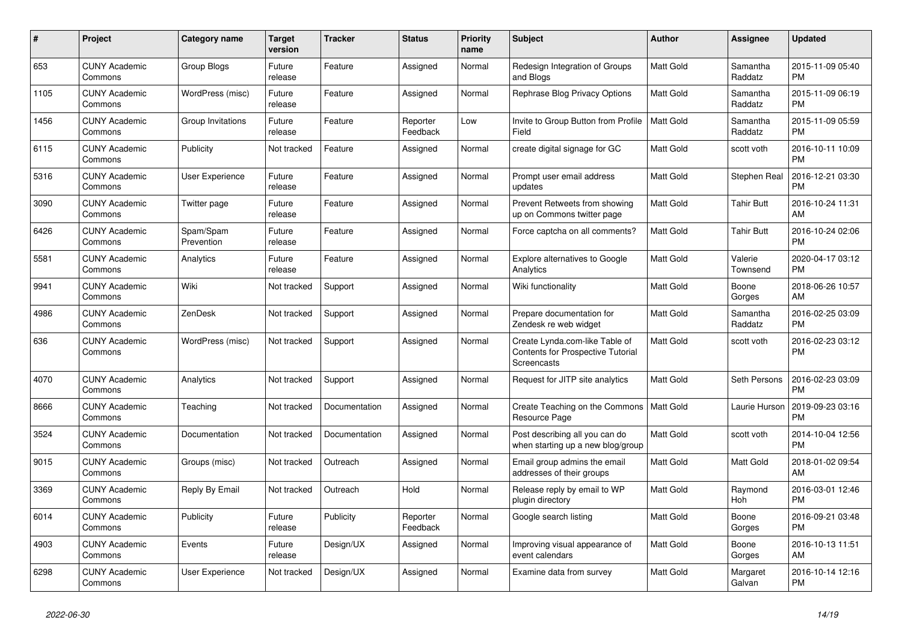| $\pmb{\#}$ | <b>Project</b>                  | <b>Category name</b>    | <b>Target</b><br>version | <b>Tracker</b> | <b>Status</b>        | <b>Priority</b><br>name | <b>Subject</b>                                                                            | <b>Author</b>    | Assignee            | <b>Updated</b>                |
|------------|---------------------------------|-------------------------|--------------------------|----------------|----------------------|-------------------------|-------------------------------------------------------------------------------------------|------------------|---------------------|-------------------------------|
| 653        | <b>CUNY Academic</b><br>Commons | Group Blogs             | Future<br>release        | Feature        | Assigned             | Normal                  | Redesign Integration of Groups<br>and Blogs                                               | <b>Matt Gold</b> | Samantha<br>Raddatz | 2015-11-09 05:40<br><b>PM</b> |
| 1105       | <b>CUNY Academic</b><br>Commons | WordPress (misc)        | Future<br>release        | Feature        | Assigned             | Normal                  | Rephrase Blog Privacy Options                                                             | Matt Gold        | Samantha<br>Raddatz | 2015-11-09 06:19<br><b>PM</b> |
| 1456       | <b>CUNY Academic</b><br>Commons | Group Invitations       | Future<br>release        | Feature        | Reporter<br>Feedback | Low                     | Invite to Group Button from Profile<br>Field                                              | Matt Gold        | Samantha<br>Raddatz | 2015-11-09 05:59<br><b>PM</b> |
| 6115       | <b>CUNY Academic</b><br>Commons | Publicity               | Not tracked              | Feature        | Assigned             | Normal                  | create digital signage for GC                                                             | Matt Gold        | scott voth          | 2016-10-11 10:09<br><b>PM</b> |
| 5316       | <b>CUNY Academic</b><br>Commons | <b>User Experience</b>  | Future<br>release        | Feature        | Assigned             | Normal                  | Prompt user email address<br>updates                                                      | Matt Gold        | Stephen Real        | 2016-12-21 03:30<br><b>PM</b> |
| 3090       | <b>CUNY Academic</b><br>Commons | Twitter page            | Future<br>release        | Feature        | Assigned             | Normal                  | Prevent Retweets from showing<br>up on Commons twitter page                               | Matt Gold        | Tahir Butt          | 2016-10-24 11:31<br>AM        |
| 6426       | <b>CUNY Academic</b><br>Commons | Spam/Spam<br>Prevention | Future<br>release        | Feature        | Assigned             | Normal                  | Force captcha on all comments?                                                            | <b>Matt Gold</b> | <b>Tahir Butt</b>   | 2016-10-24 02:06<br><b>PM</b> |
| 5581       | <b>CUNY Academic</b><br>Commons | Analytics               | Future<br>release        | Feature        | Assigned             | Normal                  | <b>Explore alternatives to Google</b><br>Analytics                                        | <b>Matt Gold</b> | Valerie<br>Townsend | 2020-04-17 03:12<br>PM        |
| 9941       | <b>CUNY Academic</b><br>Commons | Wiki                    | Not tracked              | Support        | Assigned             | Normal                  | Wiki functionality                                                                        | Matt Gold        | Boone<br>Gorges     | 2018-06-26 10:57<br>AM        |
| 4986       | <b>CUNY Academic</b><br>Commons | ZenDesk                 | Not tracked              | Support        | Assigned             | Normal                  | Prepare documentation for<br>Zendesk re web widget                                        | Matt Gold        | Samantha<br>Raddatz | 2016-02-25 03:09<br><b>PM</b> |
| 636        | <b>CUNY Academic</b><br>Commons | WordPress (misc)        | Not tracked              | Support        | Assigned             | Normal                  | Create Lynda.com-like Table of<br>Contents for Prospective Tutorial<br><b>Screencasts</b> | Matt Gold        | scott voth          | 2016-02-23 03:12<br><b>PM</b> |
| 4070       | <b>CUNY Academic</b><br>Commons | Analytics               | Not tracked              | Support        | Assigned             | Normal                  | Request for JITP site analytics                                                           | <b>Matt Gold</b> | Seth Persons        | 2016-02-23 03:09<br><b>PM</b> |
| 8666       | <b>CUNY Academic</b><br>Commons | Teaching                | Not tracked              | Documentation  | Assigned             | Normal                  | Create Teaching on the Commons<br>Resource Page                                           | <b>Matt Gold</b> | Laurie Hurson       | 2019-09-23 03:16<br><b>PM</b> |
| 3524       | <b>CUNY Academic</b><br>Commons | Documentation           | Not tracked              | Documentation  | Assigned             | Normal                  | Post describing all you can do<br>when starting up a new blog/group                       | Matt Gold        | scott voth          | 2014-10-04 12:56<br><b>PM</b> |
| 9015       | <b>CUNY Academic</b><br>Commons | Groups (misc)           | Not tracked              | Outreach       | Assigned             | Normal                  | Email group admins the email<br>addresses of their groups                                 | Matt Gold        | Matt Gold           | 2018-01-02 09:54<br>AM        |
| 3369       | <b>CUNY Academic</b><br>Commons | Reply By Email          | Not tracked              | Outreach       | Hold                 | Normal                  | Release reply by email to WP<br>plugin directory                                          | <b>Matt Gold</b> | Raymond<br>Hoh      | 2016-03-01 12:46<br><b>PM</b> |
| 6014       | <b>CUNY Academic</b><br>Commons | Publicity               | Future<br>release        | Publicity      | Reporter<br>Feedback | Normal                  | Google search listing                                                                     | Matt Gold        | Boone<br>Gorges     | 2016-09-21 03:48<br><b>PM</b> |
| 4903       | <b>CUNY Academic</b><br>Commons | Events                  | Future<br>release        | Design/UX      | Assigned             | Normal                  | Improving visual appearance of<br>event calendars                                         | Matt Gold        | Boone<br>Gorges     | 2016-10-13 11:51<br>AM        |
| 6298       | <b>CUNY Academic</b><br>Commons | User Experience         | Not tracked              | Design/UX      | Assigned             | Normal                  | Examine data from survey                                                                  | <b>Matt Gold</b> | Margaret<br>Galvan  | 2016-10-14 12:16<br><b>PM</b> |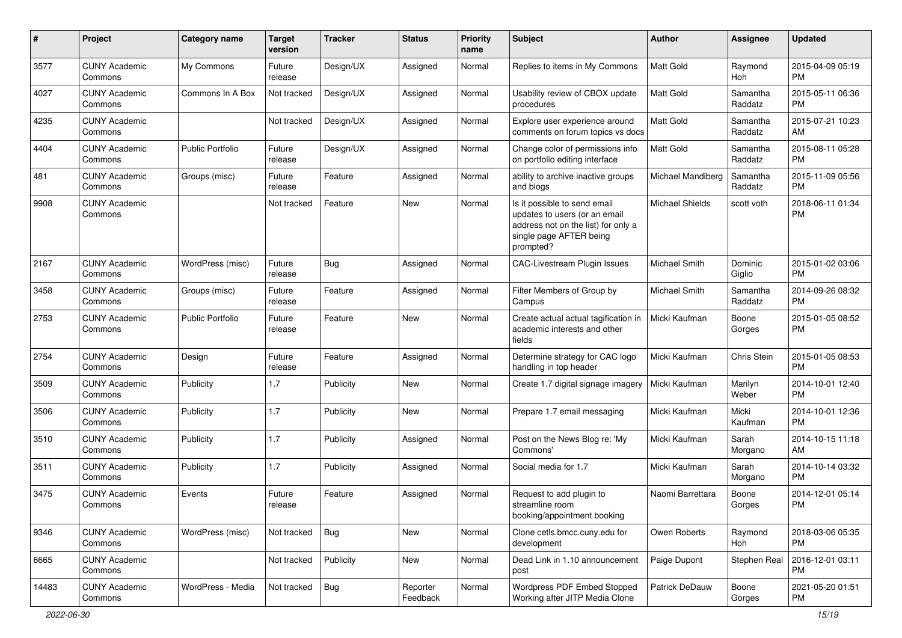| #     | Project                         | <b>Category name</b>    | <b>Target</b><br>version | <b>Tracker</b> | <b>Status</b>        | Priority<br>name | <b>Subject</b>                                                                                                                               | Author               | Assignee            | <b>Updated</b>                |
|-------|---------------------------------|-------------------------|--------------------------|----------------|----------------------|------------------|----------------------------------------------------------------------------------------------------------------------------------------------|----------------------|---------------------|-------------------------------|
| 3577  | <b>CUNY Academic</b><br>Commons | My Commons              | Future<br>release        | Design/UX      | Assigned             | Normal           | Replies to items in My Commons                                                                                                               | <b>Matt Gold</b>     | Raymond<br>Hoh      | 2015-04-09 05:19<br><b>PM</b> |
| 4027  | <b>CUNY Academic</b><br>Commons | Commons In A Box        | Not tracked              | Design/UX      | Assigned             | Normal           | Usability review of CBOX update<br>procedures                                                                                                | <b>Matt Gold</b>     | Samantha<br>Raddatz | 2015-05-11 06:36<br><b>PM</b> |
| 4235  | <b>CUNY Academic</b><br>Commons |                         | Not tracked              | Design/UX      | Assigned             | Normal           | Explore user experience around<br>comments on forum topics vs docs                                                                           | <b>Matt Gold</b>     | Samantha<br>Raddatz | 2015-07-21 10:23<br>AM        |
| 4404  | <b>CUNY Academic</b><br>Commons | <b>Public Portfolio</b> | Future<br>release        | Design/UX      | Assigned             | Normal           | Change color of permissions info<br>on portfolio editing interface                                                                           | <b>Matt Gold</b>     | Samantha<br>Raddatz | 2015-08-11 05:28<br><b>PM</b> |
| 481   | <b>CUNY Academic</b><br>Commons | Groups (misc)           | Future<br>release        | Feature        | Assigned             | Normal           | ability to archive inactive groups<br>and blogs                                                                                              | Michael Mandiberg    | Samantha<br>Raddatz | 2015-11-09 05:56<br><b>PM</b> |
| 9908  | <b>CUNY Academic</b><br>Commons |                         | Not tracked              | Feature        | New                  | Normal           | Is it possible to send email<br>updates to users (or an email<br>address not on the list) for only a<br>single page AFTER being<br>prompted? | Michael Shields      | scott voth          | 2018-06-11 01:34<br><b>PM</b> |
| 2167  | <b>CUNY Academic</b><br>Commons | WordPress (misc)        | Future<br>release        | Bug            | Assigned             | Normal           | CAC-Livestream Plugin Issues                                                                                                                 | <b>Michael Smith</b> | Dominic<br>Giglio   | 2015-01-02 03:06<br><b>PM</b> |
| 3458  | <b>CUNY Academic</b><br>Commons | Groups (misc)           | Future<br>release        | Feature        | Assigned             | Normal           | Filter Members of Group by<br>Campus                                                                                                         | Michael Smith        | Samantha<br>Raddatz | 2014-09-26 08:32<br><b>PM</b> |
| 2753  | <b>CUNY Academic</b><br>Commons | <b>Public Portfolio</b> | Future<br>release        | Feature        | <b>New</b>           | Normal           | Create actual actual tagification in<br>academic interests and other<br>fields                                                               | Micki Kaufman        | Boone<br>Gorges     | 2015-01-05 08:52<br><b>PM</b> |
| 2754  | <b>CUNY Academic</b><br>Commons | Design                  | Future<br>release        | Feature        | Assigned             | Normal           | Determine strategy for CAC logo<br>handling in top header                                                                                    | Micki Kaufman        | Chris Stein         | 2015-01-05 08:53<br><b>PM</b> |
| 3509  | <b>CUNY Academic</b><br>Commons | Publicity               | 1.7                      | Publicity      | New                  | Normal           | Create 1.7 digital signage imagery                                                                                                           | Micki Kaufman        | Marilyn<br>Weber    | 2014-10-01 12:40<br><b>PM</b> |
| 3506  | <b>CUNY Academic</b><br>Commons | Publicity               | 1.7                      | Publicity      | New                  | Normal           | Prepare 1.7 email messaging                                                                                                                  | Micki Kaufman        | Micki<br>Kaufman    | 2014-10-01 12:36<br><b>PM</b> |
| 3510  | <b>CUNY Academic</b><br>Commons | Publicity               | 1.7                      | Publicity      | Assigned             | Normal           | Post on the News Blog re: 'My<br>Commons'                                                                                                    | Micki Kaufman        | Sarah<br>Morgano    | 2014-10-15 11:18<br>AM        |
| 3511  | <b>CUNY Academic</b><br>Commons | Publicity               | 1.7                      | Publicity      | Assigned             | Normal           | Social media for 1.7                                                                                                                         | Micki Kaufman        | Sarah<br>Morgano    | 2014-10-14 03:32<br><b>PM</b> |
| 3475  | <b>CUNY Academic</b><br>Commons | Events                  | Future<br>release        | Feature        | Assigned             | Normal           | Request to add plugin to<br>streamline room<br>booking/appointment booking                                                                   | Naomi Barrettara     | Boone<br>Gorges     | 2014-12-01 05:14<br><b>PM</b> |
| 9346  | <b>CUNY Academic</b><br>Commons | WordPress (misc)        | Not tracked              | <b>Bug</b>     | New                  | Normal           | Clone cetls.bmcc.cuny.edu for<br>development                                                                                                 | Owen Roberts         | Raymond<br>Hoh      | 2018-03-06 05:35<br><b>PM</b> |
| 6665  | <b>CUNY Academic</b><br>Commons |                         | Not tracked              | Publicity      | New                  | Normal           | Dead Link in 1.10 announcement<br>post                                                                                                       | Paige Dupont         | Stephen Real        | 2016-12-01 03:11<br>PM        |
| 14483 | <b>CUNY Academic</b><br>Commons | WordPress - Media       | Not tracked              | <b>Bug</b>     | Reporter<br>Feedback | Normal           | Wordpress PDF Embed Stopped<br>Working after JITP Media Clone                                                                                | Patrick DeDauw       | Boone<br>Gorges     | 2021-05-20 01:51<br>PM        |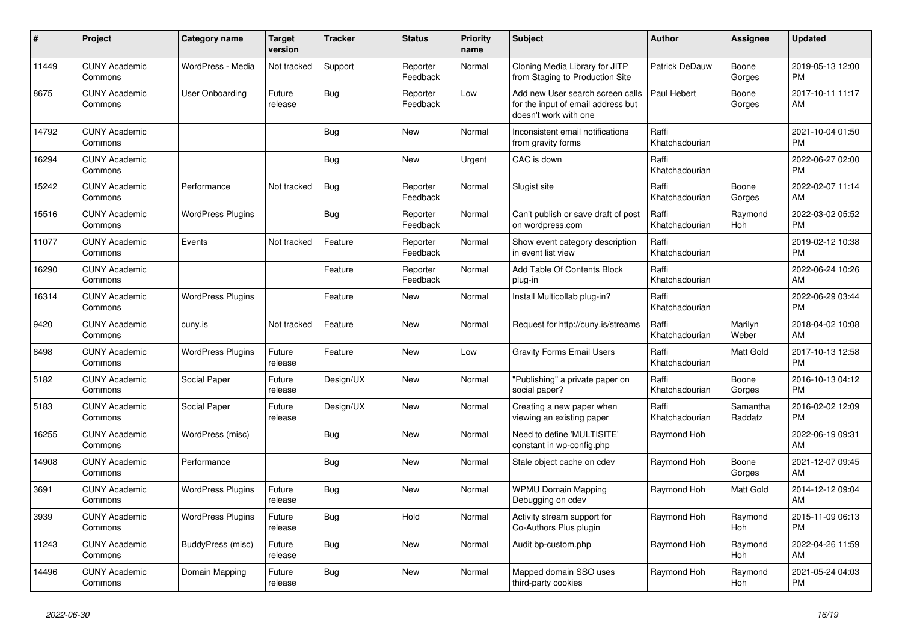| #     | Project                         | Category name            | <b>Target</b><br>version | <b>Tracker</b> | <b>Status</b>        | <b>Priority</b><br>name | <b>Subject</b>                                                                                  | <b>Author</b>           | Assignee            | <b>Updated</b>                |
|-------|---------------------------------|--------------------------|--------------------------|----------------|----------------------|-------------------------|-------------------------------------------------------------------------------------------------|-------------------------|---------------------|-------------------------------|
| 11449 | <b>CUNY Academic</b><br>Commons | WordPress - Media        | Not tracked              | Support        | Reporter<br>Feedback | Normal                  | Cloning Media Library for JITP<br>from Staging to Production Site                               | Patrick DeDauw          | Boone<br>Gorges     | 2019-05-13 12:00<br><b>PM</b> |
| 8675  | <b>CUNY Academic</b><br>Commons | User Onboarding          | Future<br>release        | <b>Bug</b>     | Reporter<br>Feedback | Low                     | Add new User search screen calls<br>for the input of email address but<br>doesn't work with one | Paul Hebert             | Boone<br>Gorges     | 2017-10-11 11:17<br>AM        |
| 14792 | <b>CUNY Academic</b><br>Commons |                          |                          | Bug            | <b>New</b>           | Normal                  | Inconsistent email notifications<br>from gravity forms                                          | Raffi<br>Khatchadourian |                     | 2021-10-04 01:50<br><b>PM</b> |
| 16294 | <b>CUNY Academic</b><br>Commons |                          |                          | <b>Bug</b>     | New                  | Urgent                  | CAC is down                                                                                     | Raffi<br>Khatchadourian |                     | 2022-06-27 02:00<br><b>PM</b> |
| 15242 | <b>CUNY Academic</b><br>Commons | Performance              | Not tracked              | <b>Bug</b>     | Reporter<br>Feedback | Normal                  | Slugist site                                                                                    | Raffi<br>Khatchadourian | Boone<br>Gorges     | 2022-02-07 11:14<br>AM        |
| 15516 | <b>CUNY Academic</b><br>Commons | <b>WordPress Plugins</b> |                          | Bug            | Reporter<br>Feedback | Normal                  | Can't publish or save draft of post<br>on wordpress.com                                         | Raffi<br>Khatchadourian | Raymond<br>Hoh      | 2022-03-02 05:52<br><b>PM</b> |
| 11077 | <b>CUNY Academic</b><br>Commons | Events                   | Not tracked              | Feature        | Reporter<br>Feedback | Normal                  | Show event category description<br>in event list view                                           | Raffi<br>Khatchadourian |                     | 2019-02-12 10:38<br><b>PM</b> |
| 16290 | <b>CUNY Academic</b><br>Commons |                          |                          | Feature        | Reporter<br>Feedback | Normal                  | Add Table Of Contents Block<br>plug-in                                                          | Raffi<br>Khatchadourian |                     | 2022-06-24 10:26<br>AM        |
| 16314 | <b>CUNY Academic</b><br>Commons | <b>WordPress Plugins</b> |                          | Feature        | New                  | Normal                  | Install Multicollab plug-in?                                                                    | Raffi<br>Khatchadourian |                     | 2022-06-29 03:44<br><b>PM</b> |
| 9420  | <b>CUNY Academic</b><br>Commons | cuny.is                  | Not tracked              | Feature        | <b>New</b>           | Normal                  | Request for http://cuny.is/streams                                                              | Raffi<br>Khatchadourian | Marilyn<br>Weber    | 2018-04-02 10:08<br>AM        |
| 8498  | <b>CUNY Academic</b><br>Commons | <b>WordPress Plugins</b> | Future<br>release        | Feature        | <b>New</b>           | Low                     | <b>Gravity Forms Email Users</b>                                                                | Raffi<br>Khatchadourian | Matt Gold           | 2017-10-13 12:58<br><b>PM</b> |
| 5182  | <b>CUNY Academic</b><br>Commons | Social Paper             | Future<br>release        | Design/UX      | New                  | Normal                  | "Publishing" a private paper on<br>social paper?                                                | Raffi<br>Khatchadourian | Boone<br>Gorges     | 2016-10-13 04:12<br><b>PM</b> |
| 5183  | <b>CUNY Academic</b><br>Commons | Social Paper             | Future<br>release        | Design/UX      | <b>New</b>           | Normal                  | Creating a new paper when<br>viewing an existing paper                                          | Raffi<br>Khatchadourian | Samantha<br>Raddatz | 2016-02-02 12:09<br><b>PM</b> |
| 16255 | <b>CUNY Academic</b><br>Commons | WordPress (misc)         |                          | Bug            | <b>New</b>           | Normal                  | Need to define 'MULTISITE'<br>constant in wp-config.php                                         | Raymond Hoh             |                     | 2022-06-19 09:31<br>AM        |
| 14908 | <b>CUNY Academic</b><br>Commons | Performance              |                          | <b>Bug</b>     | New                  | Normal                  | Stale object cache on cdev                                                                      | Raymond Hoh             | Boone<br>Gorges     | 2021-12-07 09:45<br>AM        |
| 3691  | <b>CUNY Academic</b><br>Commons | <b>WordPress Plugins</b> | Future<br>release        | Bug            | <b>New</b>           | Normal                  | <b>WPMU Domain Mapping</b><br>Debugging on cdev                                                 | Raymond Hoh             | Matt Gold           | 2014-12-12 09:04<br>AM        |
| 3939  | <b>CUNY Academic</b><br>Commons | <b>WordPress Plugins</b> | Future<br>release        | <b>Bug</b>     | Hold                 | Normal                  | Activity stream support for<br>Co-Authors Plus plugin                                           | Raymond Hoh             | Raymond<br>Hoh      | 2015-11-09 06:13<br><b>PM</b> |
| 11243 | <b>CUNY Academic</b><br>Commons | BuddyPress (misc)        | Future<br>release        | Bug            | New                  | Normal                  | Audit bp-custom.php                                                                             | Raymond Hoh             | Raymond<br>Hoh      | 2022-04-26 11:59<br>AM        |
| 14496 | <b>CUNY Academic</b><br>Commons | Domain Mapping           | Future<br>release        | Bug            | <b>New</b>           | Normal                  | Mapped domain SSO uses<br>third-party cookies                                                   | Raymond Hoh             | Raymond<br>Hoh      | 2021-05-24 04:03<br><b>PM</b> |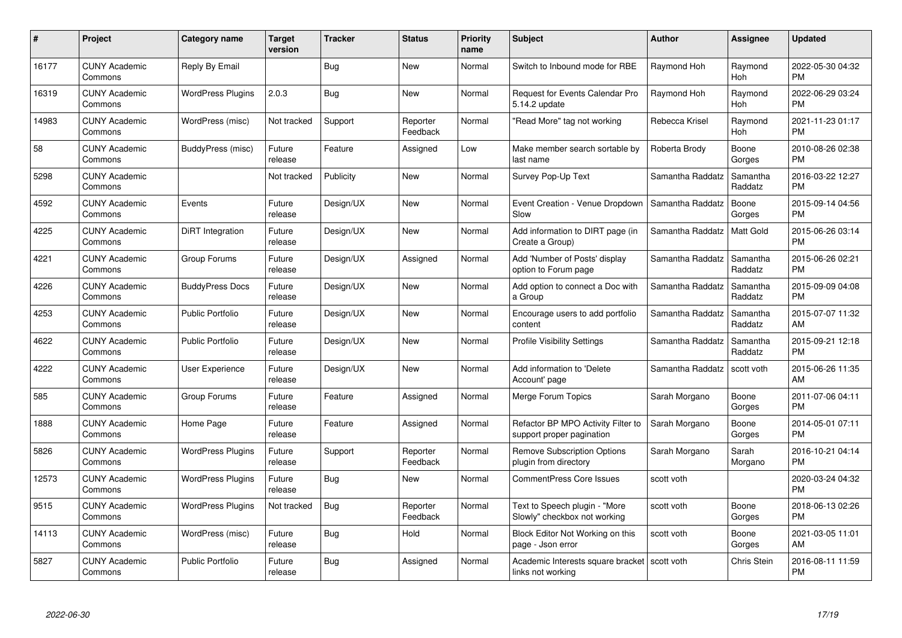| $\#$  | Project                         | <b>Category name</b>     | <b>Target</b><br>version | <b>Tracker</b> | <b>Status</b>        | Priority<br>name | <b>Subject</b>                                                  | <b>Author</b>    | <b>Assignee</b>     | <b>Updated</b>                |
|-------|---------------------------------|--------------------------|--------------------------|----------------|----------------------|------------------|-----------------------------------------------------------------|------------------|---------------------|-------------------------------|
| 16177 | <b>CUNY Academic</b><br>Commons | Reply By Email           |                          | Bug            | <b>New</b>           | Normal           | Switch to Inbound mode for RBE                                  | Raymond Hoh      | Raymond<br>Hoh      | 2022-05-30 04:32<br><b>PM</b> |
| 16319 | <b>CUNY Academic</b><br>Commons | <b>WordPress Plugins</b> | 2.0.3                    | Bug            | <b>New</b>           | Normal           | <b>Request for Events Calendar Pro</b><br>5.14.2 update         | Raymond Hoh      | Raymond<br>Hoh      | 2022-06-29 03:24<br><b>PM</b> |
| 14983 | <b>CUNY Academic</b><br>Commons | WordPress (misc)         | Not tracked              | Support        | Reporter<br>Feedback | Normal           | "Read More" tag not working                                     | Rebecca Krisel   | Raymond<br>Hoh      | 2021-11-23 01:17<br><b>PM</b> |
| 58    | <b>CUNY Academic</b><br>Commons | BuddyPress (misc)        | Future<br>release        | Feature        | Assigned             | Low              | Make member search sortable by<br>last name                     | Roberta Brody    | Boone<br>Gorges     | 2010-08-26 02:38<br><b>PM</b> |
| 5298  | <b>CUNY Academic</b><br>Commons |                          | Not tracked              | Publicity      | <b>New</b>           | Normal           | Survey Pop-Up Text                                              | Samantha Raddatz | Samantha<br>Raddatz | 2016-03-22 12:27<br><b>PM</b> |
| 4592  | <b>CUNY Academic</b><br>Commons | Events                   | Future<br>release        | Design/UX      | <b>New</b>           | Normal           | Event Creation - Venue Dropdown<br>Slow                         | Samantha Raddatz | Boone<br>Gorges     | 2015-09-14 04:56<br><b>PM</b> |
| 4225  | <b>CUNY Academic</b><br>Commons | DiRT Integration         | Future<br>release        | Design/UX      | <b>New</b>           | Normal           | Add information to DIRT page (in<br>Create a Group)             | Samantha Raddatz | Matt Gold           | 2015-06-26 03:14<br><b>PM</b> |
| 4221  | <b>CUNY Academic</b><br>Commons | Group Forums             | Future<br>release        | Design/UX      | Assigned             | Normal           | Add 'Number of Posts' display<br>option to Forum page           | Samantha Raddatz | Samantha<br>Raddatz | 2015-06-26 02:21<br><b>PM</b> |
| 4226  | <b>CUNY Academic</b><br>Commons | <b>BuddyPress Docs</b>   | Future<br>release        | Design/UX      | <b>New</b>           | Normal           | Add option to connect a Doc with<br>a Group                     | Samantha Raddatz | Samantha<br>Raddatz | 2015-09-09 04:08<br><b>PM</b> |
| 4253  | <b>CUNY Academic</b><br>Commons | <b>Public Portfolio</b>  | Future<br>release        | Design/UX      | <b>New</b>           | Normal           | Encourage users to add portfolio<br>content                     | Samantha Raddatz | Samantha<br>Raddatz | 2015-07-07 11:32<br>AM        |
| 4622  | <b>CUNY Academic</b><br>Commons | <b>Public Portfolio</b>  | Future<br>release        | Design/UX      | <b>New</b>           | Normal           | <b>Profile Visibility Settings</b>                              | Samantha Raddatz | Samantha<br>Raddatz | 2015-09-21 12:18<br><b>PM</b> |
| 4222  | <b>CUNY Academic</b><br>Commons | User Experience          | Future<br>release        | Design/UX      | <b>New</b>           | Normal           | Add information to 'Delete<br>Account' page                     | Samantha Raddatz | scott voth          | 2015-06-26 11:35<br>AM        |
| 585   | <b>CUNY Academic</b><br>Commons | Group Forums             | Future<br>release        | Feature        | Assigned             | Normal           | Merge Forum Topics                                              | Sarah Morgano    | Boone<br>Gorges     | 2011-07-06 04:11<br><b>PM</b> |
| 1888  | <b>CUNY Academic</b><br>Commons | Home Page                | Future<br>release        | Feature        | Assigned             | Normal           | Refactor BP MPO Activity Filter to<br>support proper pagination | Sarah Morgano    | Boone<br>Gorges     | 2014-05-01 07:11<br><b>PM</b> |
| 5826  | <b>CUNY Academic</b><br>Commons | <b>WordPress Plugins</b> | Future<br>release        | Support        | Reporter<br>Feedback | Normal           | Remove Subscription Options<br>plugin from directory            | Sarah Morgano    | Sarah<br>Morgano    | 2016-10-21 04:14<br><b>PM</b> |
| 12573 | <b>CUNY Academic</b><br>Commons | <b>WordPress Plugins</b> | Future<br>release        | Bug            | New                  | Normal           | <b>CommentPress Core Issues</b>                                 | scott voth       |                     | 2020-03-24 04:32<br><b>PM</b> |
| 9515  | <b>CUNY Academic</b><br>Commons | <b>WordPress Plugins</b> | Not tracked              | Bug            | Reporter<br>Feedback | Normal           | Text to Speech plugin - "More<br>Slowly" checkbox not working   | scott voth       | Boone<br>Gorges     | 2018-06-13 02:26<br><b>PM</b> |
| 14113 | <b>CUNY Academic</b><br>Commons | WordPress (misc)         | Future<br>release        | Bug            | Hold                 | Normal           | Block Editor Not Working on this<br>page - Json error           | scott voth       | Boone<br>Gorges     | 2021-03-05 11:01<br>AM        |
| 5827  | <b>CUNY Academic</b><br>Commons | <b>Public Portfolio</b>  | Future<br>release        | <b>Bug</b>     | Assigned             | Normal           | Academic Interests square bracket<br>links not working          | scott voth       | Chris Stein         | 2016-08-11 11:59<br><b>PM</b> |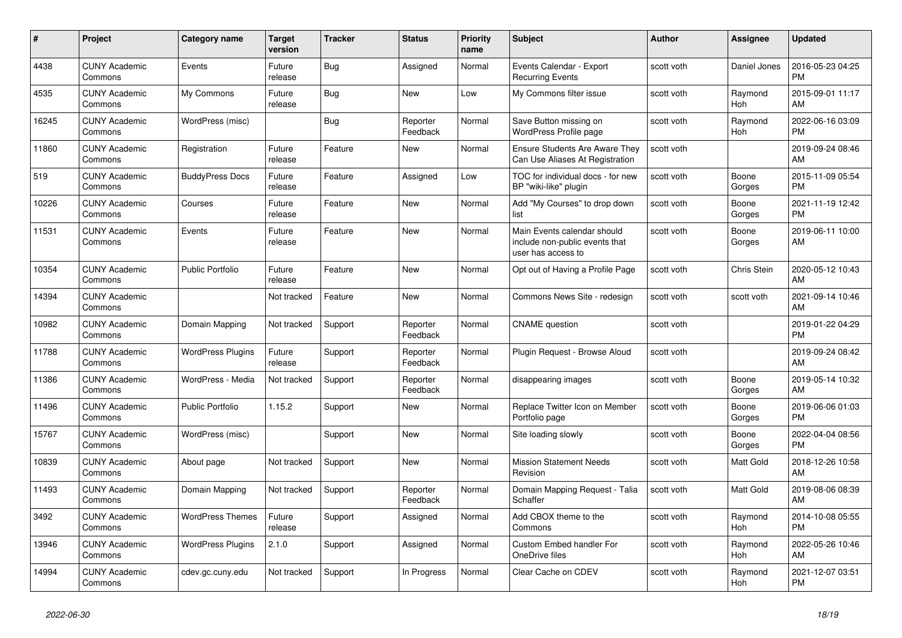| #     | Project                         | <b>Category name</b>     | <b>Target</b><br>version | <b>Tracker</b> | <b>Status</b>        | <b>Priority</b><br>name | <b>Subject</b>                                                                      | <b>Author</b> | Assignee        | <b>Updated</b>                |
|-------|---------------------------------|--------------------------|--------------------------|----------------|----------------------|-------------------------|-------------------------------------------------------------------------------------|---------------|-----------------|-------------------------------|
| 4438  | <b>CUNY Academic</b><br>Commons | Events                   | Future<br>release        | Bug            | Assigned             | Normal                  | Events Calendar - Export<br><b>Recurring Events</b>                                 | scott voth    | Daniel Jones    | 2016-05-23 04:25<br><b>PM</b> |
| 4535  | <b>CUNY Academic</b><br>Commons | My Commons               | Future<br>release        | Bug            | <b>New</b>           | Low                     | My Commons filter issue                                                             | scott voth    | Raymond<br>Hoh  | 2015-09-01 11:17<br>AM        |
| 16245 | <b>CUNY Academic</b><br>Commons | WordPress (misc)         |                          | Bug            | Reporter<br>Feedback | Normal                  | Save Button missing on<br>WordPress Profile page                                    | scott voth    | Raymond<br>Hoh  | 2022-06-16 03:09<br><b>PM</b> |
| 11860 | <b>CUNY Academic</b><br>Commons | Registration             | Future<br>release        | Feature        | <b>New</b>           | Normal                  | <b>Ensure Students Are Aware They</b><br>Can Use Aliases At Registration            | scott voth    |                 | 2019-09-24 08:46<br>AM        |
| 519   | <b>CUNY Academic</b><br>Commons | <b>BuddyPress Docs</b>   | Future<br>release        | Feature        | Assigned             | Low                     | TOC for individual docs - for new<br>BP "wiki-like" plugin                          | scott voth    | Boone<br>Gorges | 2015-11-09 05:54<br><b>PM</b> |
| 10226 | <b>CUNY Academic</b><br>Commons | Courses                  | Future<br>release        | Feature        | New                  | Normal                  | Add "My Courses" to drop down<br>list                                               | scott voth    | Boone<br>Gorges | 2021-11-19 12:42<br><b>PM</b> |
| 11531 | <b>CUNY Academic</b><br>Commons | Events                   | Future<br>release        | Feature        | <b>New</b>           | Normal                  | Main Events calendar should<br>include non-public events that<br>user has access to | scott voth    | Boone<br>Gorges | 2019-06-11 10:00<br>AM        |
| 10354 | <b>CUNY Academic</b><br>Commons | <b>Public Portfolio</b>  | Future<br>release        | Feature        | New                  | Normal                  | Opt out of Having a Profile Page                                                    | scott voth    | Chris Stein     | 2020-05-12 10:43<br>AM        |
| 14394 | <b>CUNY Academic</b><br>Commons |                          | Not tracked              | Feature        | <b>New</b>           | Normal                  | Commons News Site - redesign                                                        | scott voth    | scott voth      | 2021-09-14 10:46<br>AM        |
| 10982 | <b>CUNY Academic</b><br>Commons | Domain Mapping           | Not tracked              | Support        | Reporter<br>Feedback | Normal                  | <b>CNAME</b> question                                                               | scott voth    |                 | 2019-01-22 04:29<br><b>PM</b> |
| 11788 | <b>CUNY Academic</b><br>Commons | <b>WordPress Plugins</b> | Future<br>release        | Support        | Reporter<br>Feedback | Normal                  | Plugin Request - Browse Aloud                                                       | scott voth    |                 | 2019-09-24 08:42<br>AM        |
| 11386 | <b>CUNY Academic</b><br>Commons | WordPress - Media        | Not tracked              | Support        | Reporter<br>Feedback | Normal                  | disappearing images                                                                 | scott voth    | Boone<br>Gorges | 2019-05-14 10:32<br>AM        |
| 11496 | <b>CUNY Academic</b><br>Commons | Public Portfolio         | 1.15.2                   | Support        | New                  | Normal                  | Replace Twitter Icon on Member<br>Portfolio page                                    | scott voth    | Boone<br>Gorges | 2019-06-06 01:03<br><b>PM</b> |
| 15767 | <b>CUNY Academic</b><br>Commons | WordPress (misc)         |                          | Support        | New                  | Normal                  | Site loading slowly                                                                 | scott voth    | Boone<br>Gorges | 2022-04-04 08:56<br><b>PM</b> |
| 10839 | <b>CUNY Academic</b><br>Commons | About page               | Not tracked              | Support        | New                  | Normal                  | <b>Mission Statement Needs</b><br>Revision                                          | scott voth    | Matt Gold       | 2018-12-26 10:58<br>AM        |
| 11493 | <b>CUNY Academic</b><br>Commons | Domain Mapping           | Not tracked              | Support        | Reporter<br>Feedback | Normal                  | Domain Mapping Request - Talia<br>Schaffer                                          | scott voth    | Matt Gold       | 2019-08-06 08:39<br>AM        |
| 3492  | <b>CUNY Academic</b><br>Commons | <b>WordPress Themes</b>  | Future<br>release        | Support        | Assigned             | Normal                  | Add CBOX theme to the<br>Commons                                                    | scott voth    | Raymond<br>Hoh  | 2014-10-08 05:55<br><b>PM</b> |
| 13946 | <b>CUNY Academic</b><br>Commons | <b>WordPress Plugins</b> | 2.1.0                    | Support        | Assigned             | Normal                  | Custom Embed handler For<br>OneDrive files                                          | scott voth    | Raymond<br>Hoh  | 2022-05-26 10:46<br>AM        |
| 14994 | <b>CUNY Academic</b><br>Commons | cdev.gc.cuny.edu         | Not tracked              | Support        | In Progress          | Normal                  | Clear Cache on CDEV                                                                 | scott voth    | Raymond<br>Hoh  | 2021-12-07 03:51<br><b>PM</b> |